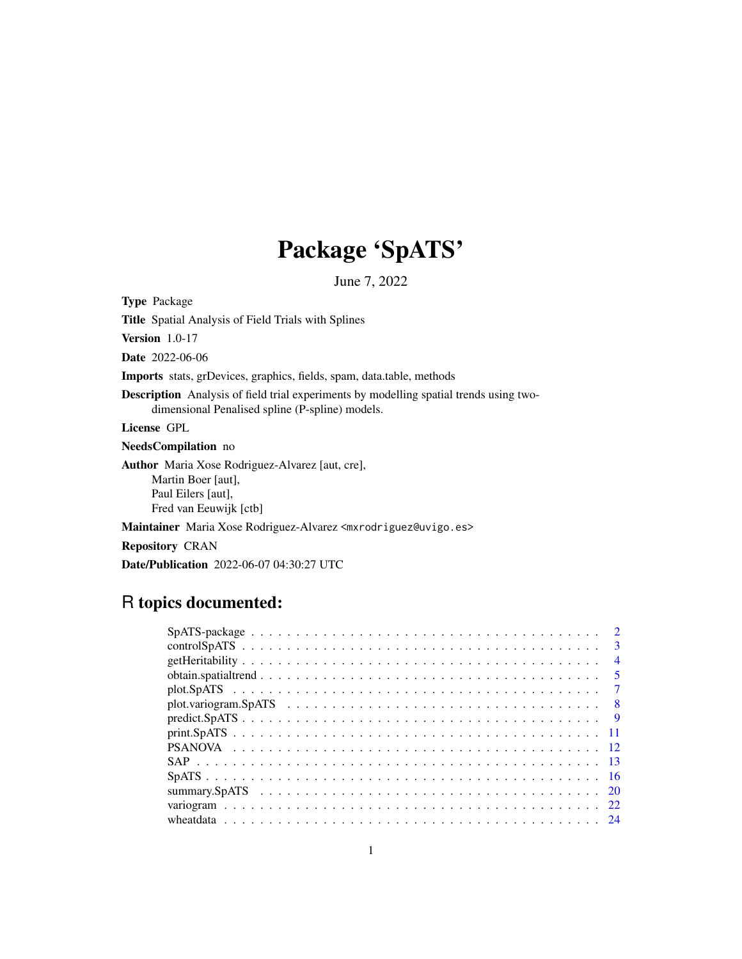## Package 'SpATS'

June 7, 2022

<span id="page-0-0"></span>Type Package

Title Spatial Analysis of Field Trials with Splines

Version 1.0-17

Date 2022-06-06

Imports stats, grDevices, graphics, fields, spam, data.table, methods

Description Analysis of field trial experiments by modelling spatial trends using twodimensional Penalised spline (P-spline) models.

License GPL

NeedsCompilation no

Author Maria Xose Rodriguez-Alvarez [aut, cre], Martin Boer [aut], Paul Eilers [aut], Fred van Eeuwijk [ctb]

Maintainer Maria Xose Rodriguez-Alvarez <mxrodriguez@uvigo.es>

Repository CRAN

Date/Publication 2022-06-07 04:30:27 UTC

### R topics documented:

|  | $\mathbf{R}$   |
|--|----------------|
|  | $\overline{4}$ |
|  | -5             |
|  |                |
|  | - 8            |
|  | - 9            |
|  |                |
|  |                |
|  |                |
|  |                |
|  |                |
|  |                |
|  |                |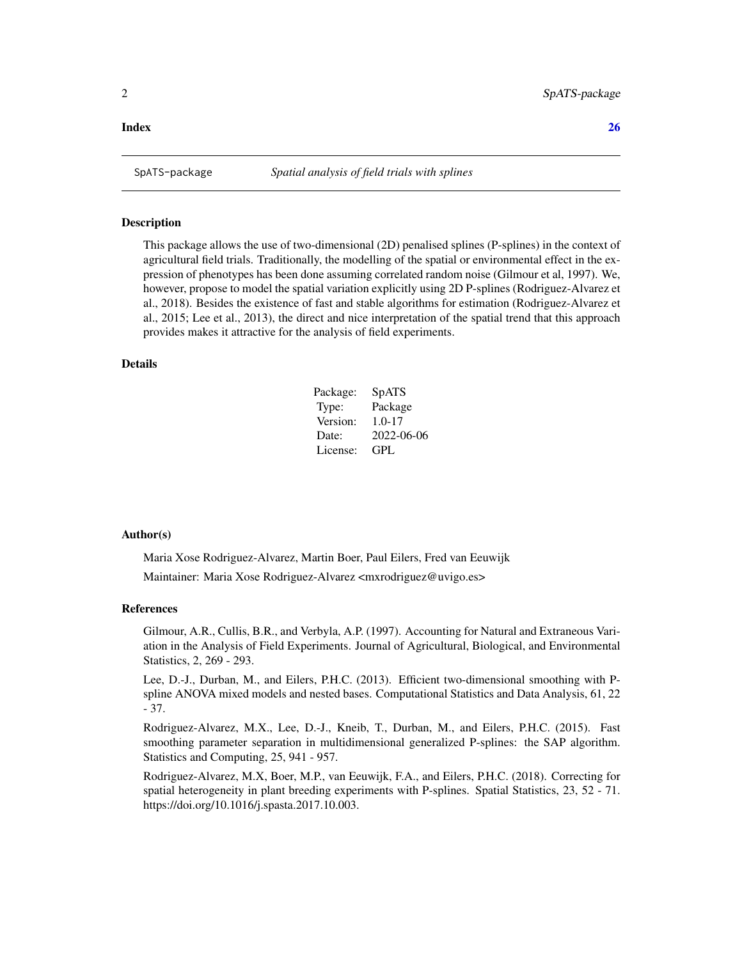#### <span id="page-1-0"></span>**Index** [26](#page-25-0)

<span id="page-1-1"></span>

#### Description

This package allows the use of two-dimensional (2D) penalised splines (P-splines) in the context of agricultural field trials. Traditionally, the modelling of the spatial or environmental effect in the expression of phenotypes has been done assuming correlated random noise (Gilmour et al, 1997). We, however, propose to model the spatial variation explicitly using 2D P-splines (Rodriguez-Alvarez et al., 2018). Besides the existence of fast and stable algorithms for estimation (Rodriguez-Alvarez et al., 2015; Lee et al., 2013), the direct and nice interpretation of the spatial trend that this approach provides makes it attractive for the analysis of field experiments.

#### Details

| Package: | SpATS      |
|----------|------------|
| Type:    | Package    |
| Version: | $1.0 - 17$ |
| Date:    | 2022-06-06 |
| License: | GPL.       |

#### Author(s)

Maria Xose Rodriguez-Alvarez, Martin Boer, Paul Eilers, Fred van Eeuwijk Maintainer: Maria Xose Rodriguez-Alvarez <mxrodriguez@uvigo.es>

#### References

Gilmour, A.R., Cullis, B.R., and Verbyla, A.P. (1997). Accounting for Natural and Extraneous Variation in the Analysis of Field Experiments. Journal of Agricultural, Biological, and Environmental Statistics, 2, 269 - 293.

Lee, D.-J., Durban, M., and Eilers, P.H.C. (2013). Efficient two-dimensional smoothing with Pspline ANOVA mixed models and nested bases. Computational Statistics and Data Analysis, 61, 22 - 37.

Rodriguez-Alvarez, M.X., Lee, D.-J., Kneib, T., Durban, M., and Eilers, P.H.C. (2015). Fast smoothing parameter separation in multidimensional generalized P-splines: the SAP algorithm. Statistics and Computing, 25, 941 - 957.

Rodriguez-Alvarez, M.X, Boer, M.P., van Eeuwijk, F.A., and Eilers, P.H.C. (2018). Correcting for spatial heterogeneity in plant breeding experiments with P-splines. Spatial Statistics, 23, 52 - 71. https://doi.org/10.1016/j.spasta.2017.10.003.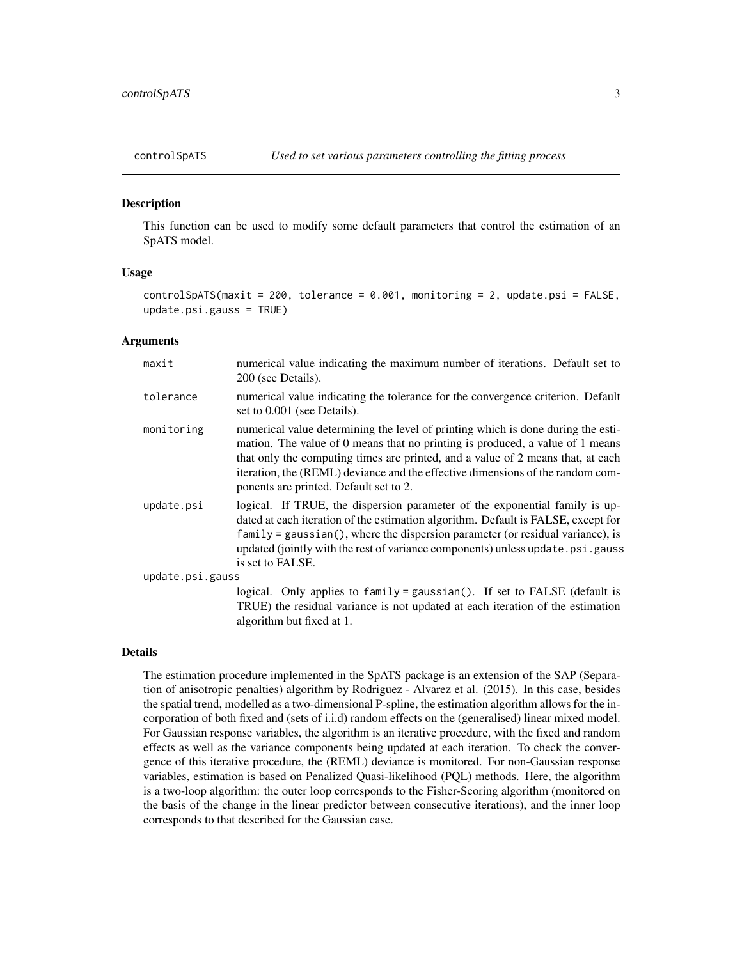<span id="page-2-1"></span><span id="page-2-0"></span>

#### Description

This function can be used to modify some default parameters that control the estimation of an SpATS model.

#### Usage

```
controlSpATS(maxit = 200, tolerance = 0.001, monitoring = 2, update.psi = FALSE,
update.psi.gauss = TRUE)
```
#### Arguments

| maxit            | numerical value indicating the maximum number of iterations. Default set to<br>200 (see Details).                                                                                                                                                                                                                                                                                |
|------------------|----------------------------------------------------------------------------------------------------------------------------------------------------------------------------------------------------------------------------------------------------------------------------------------------------------------------------------------------------------------------------------|
| tolerance        | numerical value indicating the tolerance for the convergence criterion. Default<br>set to 0.001 (see Details).                                                                                                                                                                                                                                                                   |
| monitoring       | numerical value determining the level of printing which is done during the esti-<br>mation. The value of 0 means that no printing is produced, a value of 1 means<br>that only the computing times are printed, and a value of 2 means that, at each<br>iteration, the (REML) deviance and the effective dimensions of the random com-<br>ponents are printed. Default set to 2. |
| update.psi       | logical. If TRUE, the dispersion parameter of the exponential family is up-<br>dated at each iteration of the estimation algorithm. Default is FALSE, except for<br>$family = gaussian(),$ where the dispersion parameter (or residual variance), is<br>updated (jointly with the rest of variance components) unless update.psi.gauss<br>is set to FALSE.                       |
| update.psi.gauss |                                                                                                                                                                                                                                                                                                                                                                                  |
|                  | logical. Only applies to family = gaussian(). If set to FALSE (default is<br>TRUE) the residual variance is not updated at each iteration of the estimation<br>algorithm but fixed at 1.                                                                                                                                                                                         |

#### Details

The estimation procedure implemented in the SpATS package is an extension of the SAP (Separation of anisotropic penalties) algorithm by Rodriguez - Alvarez et al. (2015). In this case, besides the spatial trend, modelled as a two-dimensional P-spline, the estimation algorithm allows for the incorporation of both fixed and (sets of i.i.d) random effects on the (generalised) linear mixed model. For Gaussian response variables, the algorithm is an iterative procedure, with the fixed and random effects as well as the variance components being updated at each iteration. To check the convergence of this iterative procedure, the (REML) deviance is monitored. For non-Gaussian response variables, estimation is based on Penalized Quasi-likelihood (PQL) methods. Here, the algorithm is a two-loop algorithm: the outer loop corresponds to the Fisher-Scoring algorithm (monitored on the basis of the change in the linear predictor between consecutive iterations), and the inner loop corresponds to that described for the Gaussian case.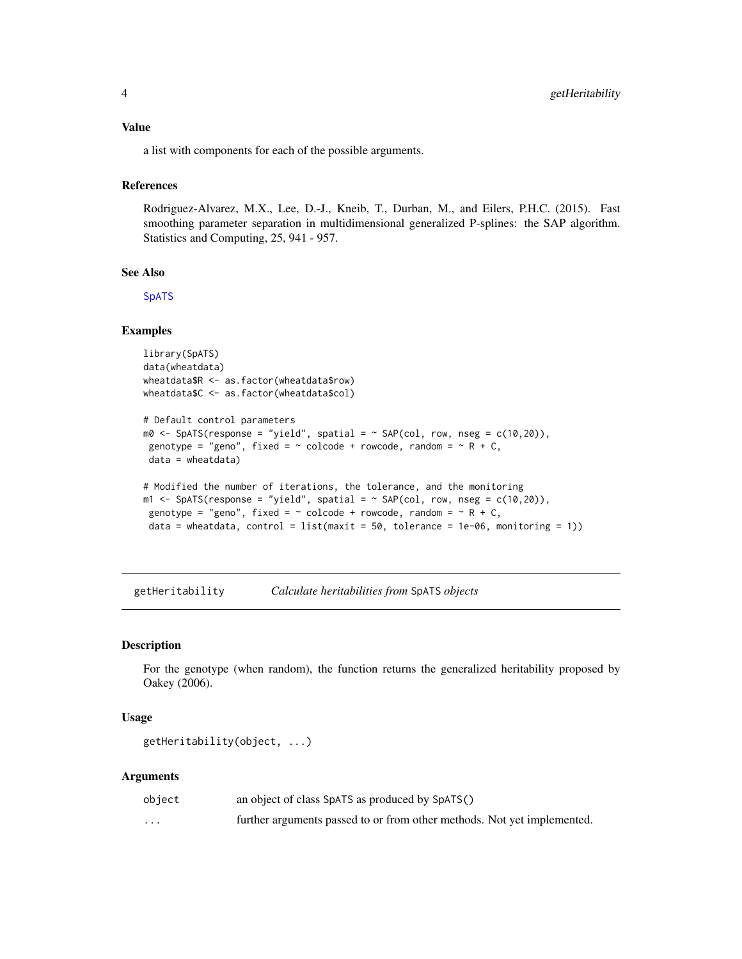<span id="page-3-0"></span>a list with components for each of the possible arguments.

#### References

Rodriguez-Alvarez, M.X., Lee, D.-J., Kneib, T., Durban, M., and Eilers, P.H.C. (2015). Fast smoothing parameter separation in multidimensional generalized P-splines: the SAP algorithm. Statistics and Computing, 25, 941 - 957.

#### See Also

**[SpATS](#page-15-1)** 

#### Examples

```
library(SpATS)
data(wheatdata)
wheatdata$R <- as.factor(wheatdata$row)
wheatdata$C <- as.factor(wheatdata$col)
```

```
# Default control parameters
m0 \leq - SpATS(response = "yield", spatial = \sim SAP(col, row, nseg = c(10,20)),
genotype = "geno", fixed = \sim colcode + rowcode, random = \sim R + C,
data = wheatdata)
```

```
# Modified the number of iterations, the tolerance, and the monitoring
m1 \leq SpATS(response = "yield", spatial = \sim SAP(col, row, nseg = c(10,20)),
genotype = "geno", fixed = \sim colcode + rowcode, random = \sim R + C,
data = wheatdata, control = list(maxit = 50, tolerance = 1e-06, monitoring = 1))
```
getHeritability *Calculate heritabilities from* SpATS *objects*

#### Description

For the genotype (when random), the function returns the generalized heritability proposed by Oakey (2006).

#### Usage

```
getHeritability(object, ...)
```
#### Arguments

| object   | an object of class SpATS as produced by SpATS()                         |
|----------|-------------------------------------------------------------------------|
| $\cdots$ | further arguments passed to or from other methods. Not yet implemented. |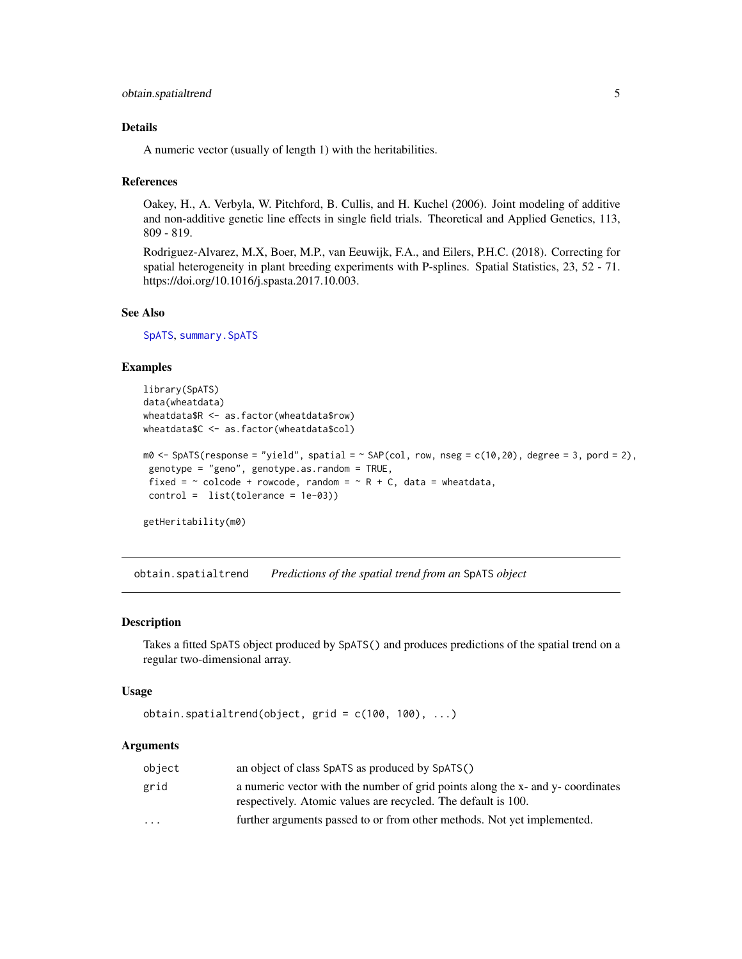#### <span id="page-4-0"></span>Details

A numeric vector (usually of length 1) with the heritabilities.

#### References

Oakey, H., A. Verbyla, W. Pitchford, B. Cullis, and H. Kuchel (2006). Joint modeling of additive and non-additive genetic line effects in single field trials. Theoretical and Applied Genetics, 113, 809 - 819.

Rodriguez-Alvarez, M.X, Boer, M.P., van Eeuwijk, F.A., and Eilers, P.H.C. (2018). Correcting for spatial heterogeneity in plant breeding experiments with P-splines. Spatial Statistics, 23, 52 - 71. https://doi.org/10.1016/j.spasta.2017.10.003.

#### See Also

[SpATS](#page-15-1), [summary.SpATS](#page-19-1)

#### Examples

```
library(SpATS)
data(wheatdata)
wheatdata$R <- as.factor(wheatdata$row)
wheatdata$C <- as.factor(wheatdata$col)
m0 \leq - SpATS(response = "yield", spatial = \sim SAP(col, row, nseg = c(10,20), degree = 3, pord = 2),
genotype = "geno", genotype.as.random = TRUE,
fixed = \sim colcode + rowcode, random = \sim R + C, data = wheatdata,
control = list(tolerance = 1e-03))
```
getHeritability(m0)

<span id="page-4-1"></span>obtain.spatialtrend *Predictions of the spatial trend from an* SpATS *object*

#### Description

Takes a fitted SpATS object produced by SpATS() and produces predictions of the spatial trend on a regular two-dimensional array.

#### Usage

```
obtain.spatialtrend(object, grid = c(100, 100), ...)
```
#### Arguments

| object                  | an object of class SpATS as produced by SpATS()                                                                                                  |
|-------------------------|--------------------------------------------------------------------------------------------------------------------------------------------------|
| grid                    | a numeric vector with the number of grid points along the x- and y- coordinates<br>respectively. Atomic values are recycled. The default is 100. |
| $\cdot$ $\cdot$ $\cdot$ | further arguments passed to or from other methods. Not yet implemented.                                                                          |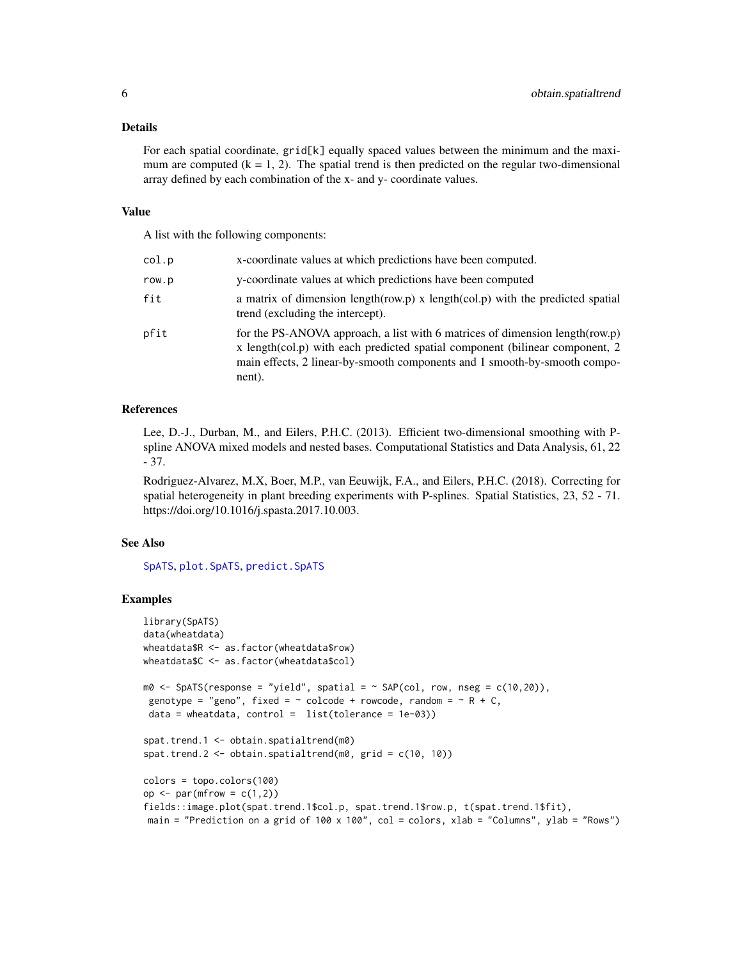#### <span id="page-5-0"></span>Details

For each spatial coordinate, grid[k] equally spaced values between the minimum and the maximum are computed  $(k = 1, 2)$ . The spatial trend is then predicted on the regular two-dimensional array defined by each combination of the x- and y- coordinate values.

#### Value

A list with the following components:

| col.p | x-coordinate values at which predictions have been computed.                                                                                                                                                                                         |
|-------|------------------------------------------------------------------------------------------------------------------------------------------------------------------------------------------------------------------------------------------------------|
| row.p | y-coordinate values at which predictions have been computed                                                                                                                                                                                          |
| fit   | a matrix of dimension length (row.p) x length (col.p) with the predicted spatial<br>trend (excluding the intercept).                                                                                                                                 |
| pfit  | for the PS-ANOVA approach, a list with 6 matrices of dimension length (row.p)<br>x length(col.p) with each predicted spatial component (bilinear component, 2<br>main effects, 2 linear-by-smooth components and 1 smooth-by-smooth compo-<br>nent). |

#### References

Lee, D.-J., Durban, M., and Eilers, P.H.C. (2013). Efficient two-dimensional smoothing with Pspline ANOVA mixed models and nested bases. Computational Statistics and Data Analysis, 61, 22 - 37.

Rodriguez-Alvarez, M.X, Boer, M.P., van Eeuwijk, F.A., and Eilers, P.H.C. (2018). Correcting for spatial heterogeneity in plant breeding experiments with P-splines. Spatial Statistics, 23, 52 - 71. https://doi.org/10.1016/j.spasta.2017.10.003.

#### See Also

[SpATS](#page-15-1), [plot.SpATS](#page-6-1), [predict.SpATS](#page-8-1)

#### Examples

```
library(SpATS)
data(wheatdata)
wheatdata$R <- as.factor(wheatdata$row)
wheatdata$C <- as.factor(wheatdata$col)
m0 \leq SpATS(response = "yield", spatial = \sim SAP(col, row, nseg = c(10,20)),
genotype = "geno", fixed = \sim colcode + rowcode, random = \sim R + C,
data = wheatdata, control = list(tolerance = 1e-03))spat.trend.1 <- obtain.spatialtrend(m0)
spat.trend.2 <- obtain.spatialtrend(m0, grid = c(10, 10))
colors = topo.colors(100)
op \leq par(mfrow = c(1,2))
fields::image.plot(spat.trend.1$col.p, spat.trend.1$row.p, t(spat.trend.1$fit),
main = "Prediction on a grid of 100 x 100", col = colors, xlab = "Columns", ylab = "Rows")
```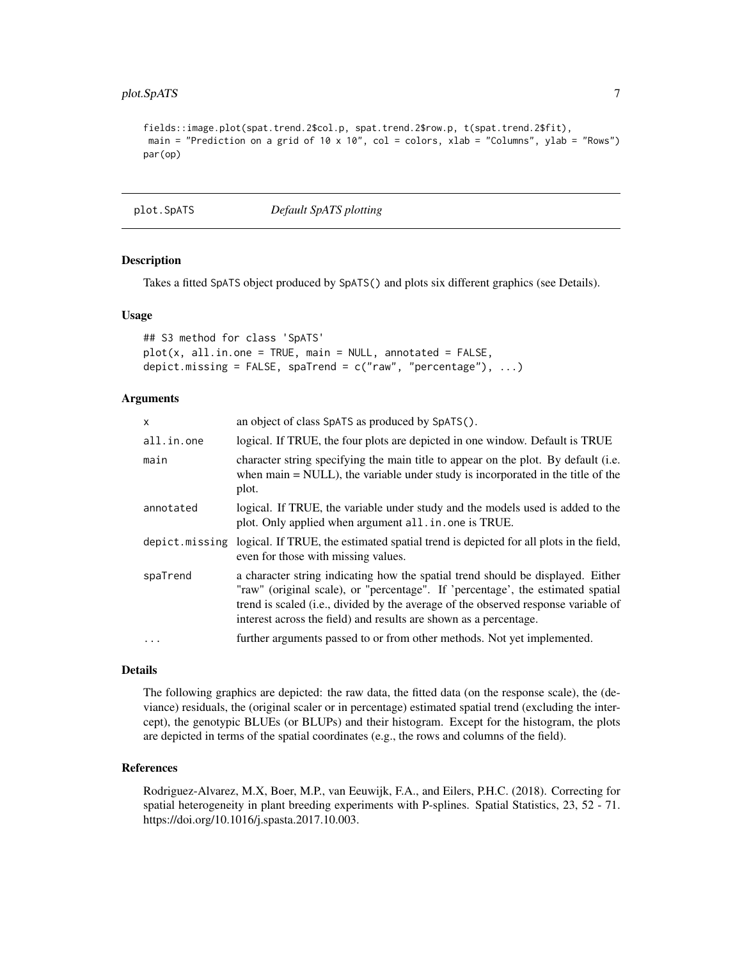#### <span id="page-6-0"></span>plot.SpATS 7

```
fields::image.plot(spat.trend.2$col.p, spat.trend.2$row.p, t(spat.trend.2$fit),
main = "Prediction on a grid of 10 x 10", col = colors, xlab = "Columns", ylab = "Rows")
par(op)
```
<span id="page-6-1"></span>plot.SpATS *Default SpATS plotting*

#### **Description**

Takes a fitted SpATS object produced by SpATS() and plots six different graphics (see Details).

#### Usage

```
## S3 method for class 'SpATS'
plot(x, all.in.one = TRUE, main = NULL, annotated = FALSE,
depict.missing = FALSE, spaTrend = c("raw", "percentage"), ...)
```
#### Arguments

| x          | an object of class SpATS as produced by SpATS().                                                                                                                                                                                                                                                                              |
|------------|-------------------------------------------------------------------------------------------------------------------------------------------------------------------------------------------------------------------------------------------------------------------------------------------------------------------------------|
| all.in.one | logical. If TRUE, the four plots are depicted in one window. Default is TRUE                                                                                                                                                                                                                                                  |
| main       | character string specifying the main title to appear on the plot. By default (i.e.<br>when $main = NULL$ , the variable under study is incorporated in the title of the<br>plot.                                                                                                                                              |
| annotated  | logical. If TRUE, the variable under study and the models used is added to the<br>plot. Only applied when argument all. in. one is TRUE.                                                                                                                                                                                      |
|            | depict missing logical. If TRUE, the estimated spatial trend is depicted for all plots in the field,<br>even for those with missing values.                                                                                                                                                                                   |
| spaTrend   | a character string indicating how the spatial trend should be displayed. Either<br>"raw" (original scale), or "percentage". If 'percentage', the estimated spatial<br>trend is scaled (i.e., divided by the average of the observed response variable of<br>interest across the field) and results are shown as a percentage. |
|            | further arguments passed to or from other methods. Not yet implemented.                                                                                                                                                                                                                                                       |
|            |                                                                                                                                                                                                                                                                                                                               |

#### Details

The following graphics are depicted: the raw data, the fitted data (on the response scale), the (deviance) residuals, the (original scaler or in percentage) estimated spatial trend (excluding the intercept), the genotypic BLUEs (or BLUPs) and their histogram. Except for the histogram, the plots are depicted in terms of the spatial coordinates (e.g., the rows and columns of the field).

#### References

Rodriguez-Alvarez, M.X, Boer, M.P., van Eeuwijk, F.A., and Eilers, P.H.C. (2018). Correcting for spatial heterogeneity in plant breeding experiments with P-splines. Spatial Statistics, 23, 52 - 71. https://doi.org/10.1016/j.spasta.2017.10.003.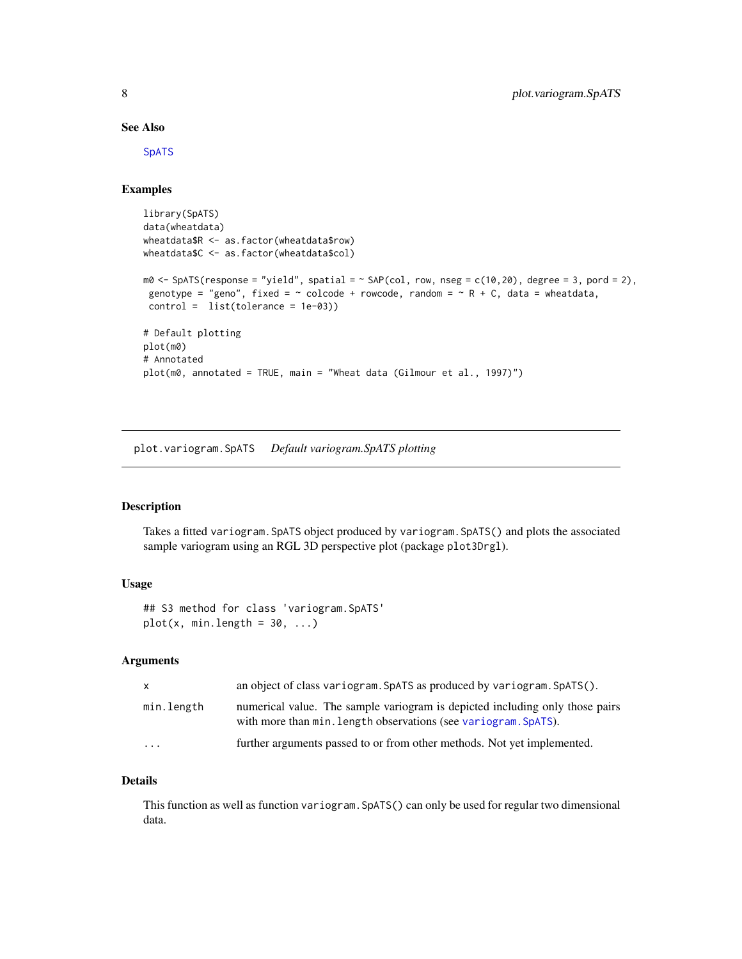#### See Also

[SpATS](#page-15-1)

#### Examples

```
library(SpATS)
data(wheatdata)
wheatdata$R <- as.factor(wheatdata$row)
wheatdata$C <- as.factor(wheatdata$col)
m0 \leq - SpATS(response = "yield", spatial = \sim SAP(col, row, nseg = c(10,20), degree = 3, pord = 2),
 genotype = "geno", fixed = \sim colcode + rowcode, random = \sim R + C, data = wheatdata,
 control = list(tolerance = 1e-03))
# Default plotting
plot(m0)
# Annotated
plot(m0, annotated = TRUE, main = "Wheat data (Gilmour et al., 1997)")
```
<span id="page-7-1"></span>plot.variogram.SpATS *Default variogram.SpATS plotting*

#### Description

Takes a fitted variogram.SpATS object produced by variogram.SpATS() and plots the associated sample variogram using an RGL 3D perspective plot (package plot3Drgl).

#### Usage

```
## S3 method for class 'variogram.SpATS'
plot(x, min.length = 30, ...)
```
#### Arguments

| $\mathsf{X}$ | an object of class variogram. SpATS as produced by variogram. SpATS().                                                                          |
|--------------|-------------------------------------------------------------------------------------------------------------------------------------------------|
| min.length   | numerical value. The sample variogram is depicted including only those pairs<br>with more than min. Length observations (see variogram. SpATS). |
| $\cdots$     | further arguments passed to or from other methods. Not yet implemented.                                                                         |

#### Details

This function as well as function variogram.SpATS() can only be used for regular two dimensional data.

<span id="page-7-0"></span>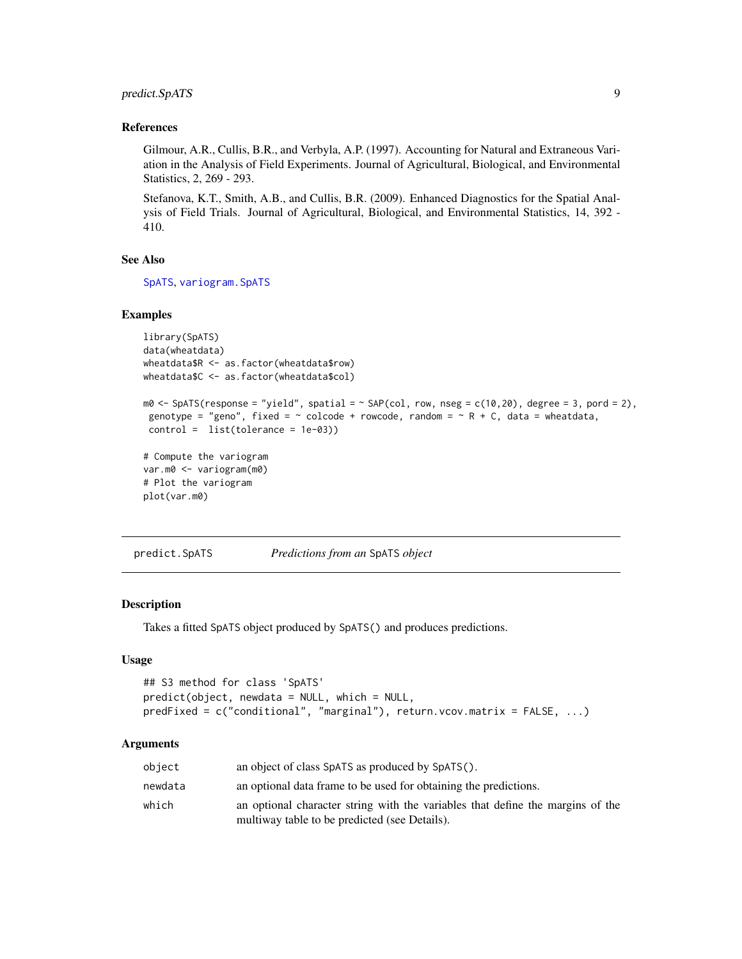#### <span id="page-8-0"></span>predict.SpATS 9

#### References

Gilmour, A.R., Cullis, B.R., and Verbyla, A.P. (1997). Accounting for Natural and Extraneous Variation in the Analysis of Field Experiments. Journal of Agricultural, Biological, and Environmental Statistics, 2, 269 - 293.

Stefanova, K.T., Smith, A.B., and Cullis, B.R. (2009). Enhanced Diagnostics for the Spatial Analysis of Field Trials. Journal of Agricultural, Biological, and Environmental Statistics, 14, 392 - 410.

#### See Also

[SpATS](#page-15-1), [variogram.SpATS](#page-21-1)

#### Examples

```
library(SpATS)
data(wheatdata)
wheatdata$R <- as.factor(wheatdata$row)
wheatdata$C <- as.factor(wheatdata$col)
m0 \leq - SpATS(response = "yield", spatial = \sim SAP(col, row, nseg = c(10,20), degree = 3, pord = 2),
genotype = "geno", fixed = \sim colcode + rowcode, random = \sim R + C, data = wheatdata,
control = list(tolerance = 1e-03))
# Compute the variogram
var.m0 <- variogram(m0)
# Plot the variogram
plot(var.m0)
```
<span id="page-8-1"></span>predict.SpATS *Predictions from an* SpATS *object*

#### Description

Takes a fitted SpATS object produced by SpATS() and produces predictions.

#### Usage

```
## S3 method for class 'SpATS'
predict(object, newdata = NULL, which = NULL,
predFixed = c("conditional", "marginal"), return.vcov.matrix = FALSE, ...)
```
#### Arguments

| object  | an object of class SpATS as produced by SpATS().                               |
|---------|--------------------------------------------------------------------------------|
| newdata | an optional data frame to be used for obtaining the predictions.               |
| which   | an optional character string with the variables that define the margins of the |
|         | multiway table to be predicted (see Details).                                  |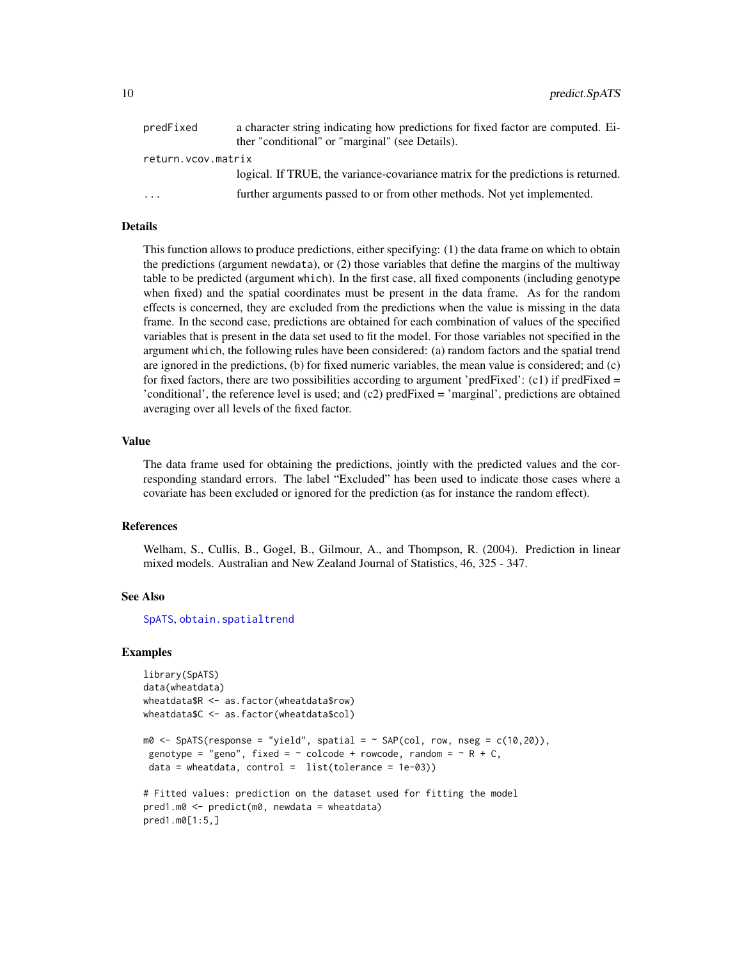<span id="page-9-0"></span>

| predFixed          | a character string indicating how predictions for fixed factor are computed. Ei-  |
|--------------------|-----------------------------------------------------------------------------------|
|                    | ther "conditional" or "marginal" (see Details).                                   |
| return.vcov.matrix |                                                                                   |
|                    | logical. If TRUE, the variance-covariance matrix for the predictions is returned. |
| $\ddotsc$          | further arguments passed to or from other methods. Not yet implemented.           |

#### Details

This function allows to produce predictions, either specifying: (1) the data frame on which to obtain the predictions (argument newdata), or (2) those variables that define the margins of the multiway table to be predicted (argument which). In the first case, all fixed components (including genotype when fixed) and the spatial coordinates must be present in the data frame. As for the random effects is concerned, they are excluded from the predictions when the value is missing in the data frame. In the second case, predictions are obtained for each combination of values of the specified variables that is present in the data set used to fit the model. For those variables not specified in the argument which, the following rules have been considered: (a) random factors and the spatial trend are ignored in the predictions, (b) for fixed numeric variables, the mean value is considered; and (c) for fixed factors, there are two possibilities according to argument 'predFixed':  $(c1)$  if predFixed = 'conditional', the reference level is used; and (c2) predFixed = 'marginal', predictions are obtained averaging over all levels of the fixed factor.

#### Value

The data frame used for obtaining the predictions, jointly with the predicted values and the corresponding standard errors. The label "Excluded" has been used to indicate those cases where a covariate has been excluded or ignored for the prediction (as for instance the random effect).

#### References

Welham, S., Cullis, B., Gogel, B., Gilmour, A., and Thompson, R. (2004). Prediction in linear mixed models. Australian and New Zealand Journal of Statistics, 46, 325 - 347.

#### See Also

[SpATS](#page-15-1), [obtain.spatialtrend](#page-4-1)

#### Examples

```
library(SpATS)
data(wheatdata)
wheatdata$R <- as.factor(wheatdata$row)
wheatdata$C <- as.factor(wheatdata$col)
m0 \leq SpATS(response = "yield", spatial = \sim SAP(col, row, nseg = c(10,20)),
 genotype = "geno", fixed = \sim colcode + rowcode, random = \sim R + C,
data = wheatdata, control = list(tolerance = 1e-03))
# Fitted values: prediction on the dataset used for fitting the model
pred1.m0 <- predict(m0, newdata = wheatdata)
pred1.m0[1:5,]
```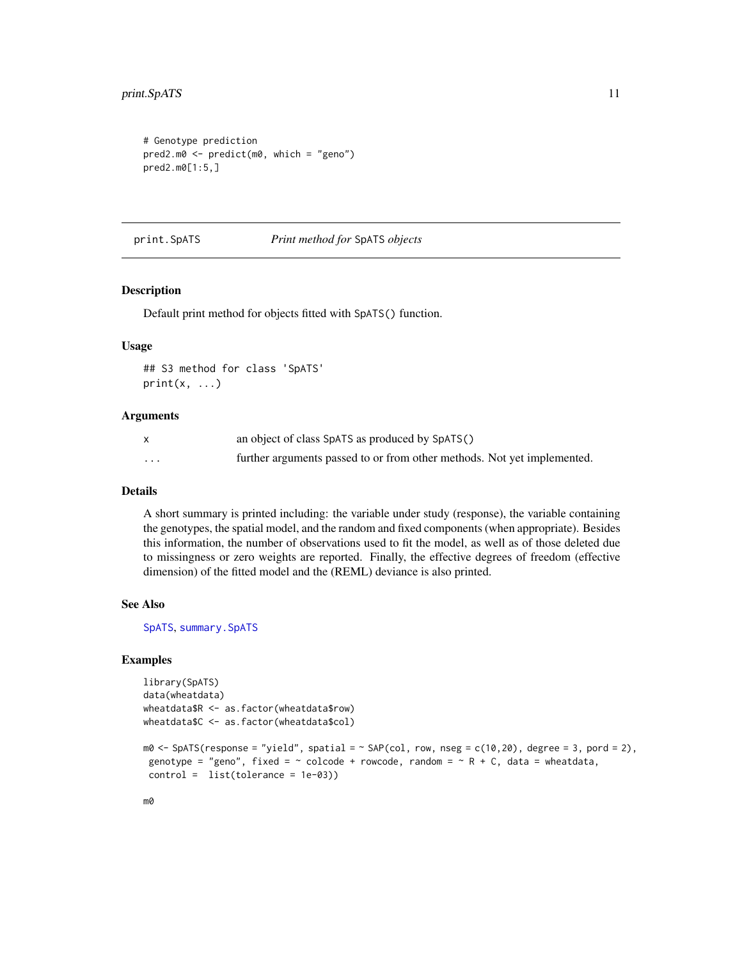```
# Genotype prediction
pred2.m0 <- predict(m0, which = "geno")
pred2.m0[1:5,]
```
print.SpATS *Print method for* SpATS *objects*

#### Description

Default print method for objects fitted with SpATS() function.

#### Usage

## S3 method for class 'SpATS'  $print(x, \ldots)$ 

#### Arguments

|          | an object of class SpATS as produced by SpATS()                         |
|----------|-------------------------------------------------------------------------|
| $\cdots$ | further arguments passed to or from other methods. Not yet implemented. |

#### Details

A short summary is printed including: the variable under study (response), the variable containing the genotypes, the spatial model, and the random and fixed components (when appropriate). Besides this information, the number of observations used to fit the model, as well as of those deleted due to missingness or zero weights are reported. Finally, the effective degrees of freedom (effective dimension) of the fitted model and the (REML) deviance is also printed.

#### See Also

[SpATS](#page-15-1), [summary.SpATS](#page-19-1)

#### Examples

```
library(SpATS)
data(wheatdata)
wheatdata$R <- as.factor(wheatdata$row)
wheatdata$C <- as.factor(wheatdata$col)
m0 \leq - SpATS(response = "yield", spatial = \sim SAP(col, row, nseg = c(10,20), degree = 3, pord = 2),
genotype = "geno", fixed = \sim colcode + rowcode, random = \sim R + C, data = wheatdata,
control = list(tolerance = 1e-03))
```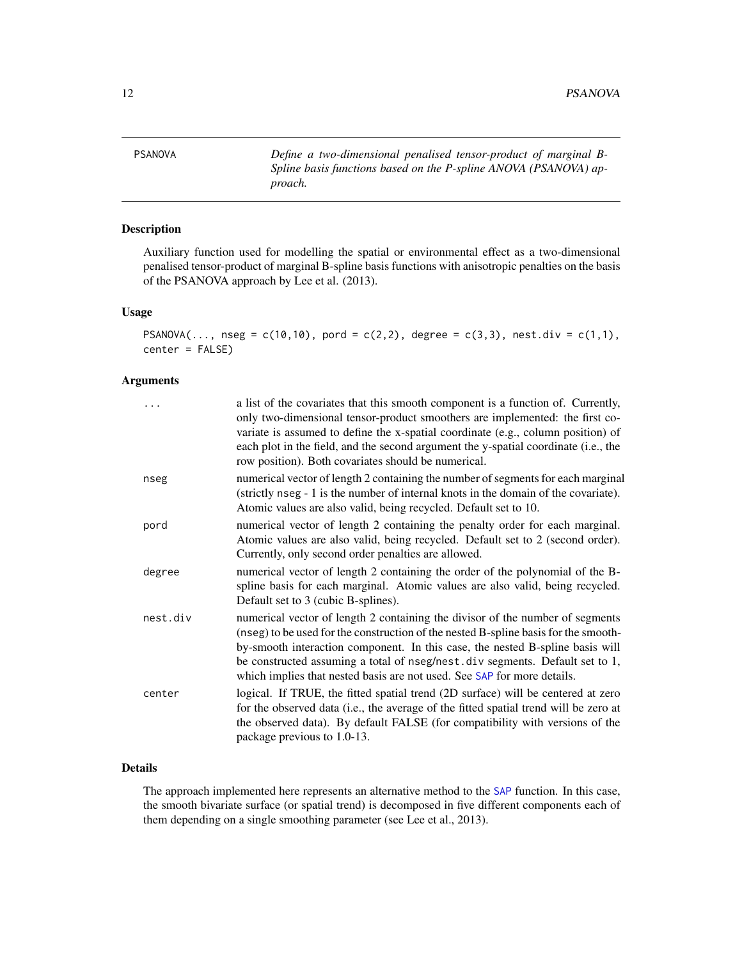<span id="page-11-1"></span><span id="page-11-0"></span>PSANOVA *Define a two-dimensional penalised tensor-product of marginal B-Spline basis functions based on the P-spline ANOVA (PSANOVA) approach.*

#### Description

Auxiliary function used for modelling the spatial or environmental effect as a two-dimensional penalised tensor-product of marginal B-spline basis functions with anisotropic penalties on the basis of the PSANOVA approach by Lee et al. (2013).

#### Usage

```
PSANOVA(..., nseg = c(10,10), pord = c(2,2), degree = c(3,3), nest.div = c(1,1),
center = FALSE)
```
#### Arguments

| .        | a list of the covariates that this smooth component is a function of. Currently,<br>only two-dimensional tensor-product smoothers are implemented: the first co-<br>variate is assumed to define the x-spatial coordinate (e.g., column position) of<br>each plot in the field, and the second argument the y-spatial coordinate (i.e., the<br>row position). Both covariates should be numerical.               |
|----------|------------------------------------------------------------------------------------------------------------------------------------------------------------------------------------------------------------------------------------------------------------------------------------------------------------------------------------------------------------------------------------------------------------------|
| nseg     | numerical vector of length 2 containing the number of segments for each marginal<br>(strictly nseg - 1 is the number of internal knots in the domain of the covariate).<br>Atomic values are also valid, being recycled. Default set to 10.                                                                                                                                                                      |
| pord     | numerical vector of length 2 containing the penalty order for each marginal.<br>Atomic values are also valid, being recycled. Default set to 2 (second order).<br>Currently, only second order penalties are allowed.                                                                                                                                                                                            |
| degree   | numerical vector of length 2 containing the order of the polynomial of the B-<br>spline basis for each marginal. Atomic values are also valid, being recycled.<br>Default set to 3 (cubic B-splines).                                                                                                                                                                                                            |
| nest.div | numerical vector of length 2 containing the divisor of the number of segments<br>(nseg) to be used for the construction of the nested B-spline basis for the smooth-<br>by-smooth interaction component. In this case, the nested B-spline basis will<br>be constructed assuming a total of nseg/nest.div segments. Default set to 1,<br>which implies that nested basis are not used. See SAP for more details. |
| center   | logical. If TRUE, the fitted spatial trend (2D surface) will be centered at zero<br>for the observed data (i.e., the average of the fitted spatial trend will be zero at<br>the observed data). By default FALSE (for compatibility with versions of the<br>package previous to 1.0-13.                                                                                                                          |

#### Details

The approach implemented here represents an alternative method to the [SAP](#page-12-1) function. In this case, the smooth bivariate surface (or spatial trend) is decomposed in five different components each of them depending on a single smoothing parameter (see Lee et al., 2013).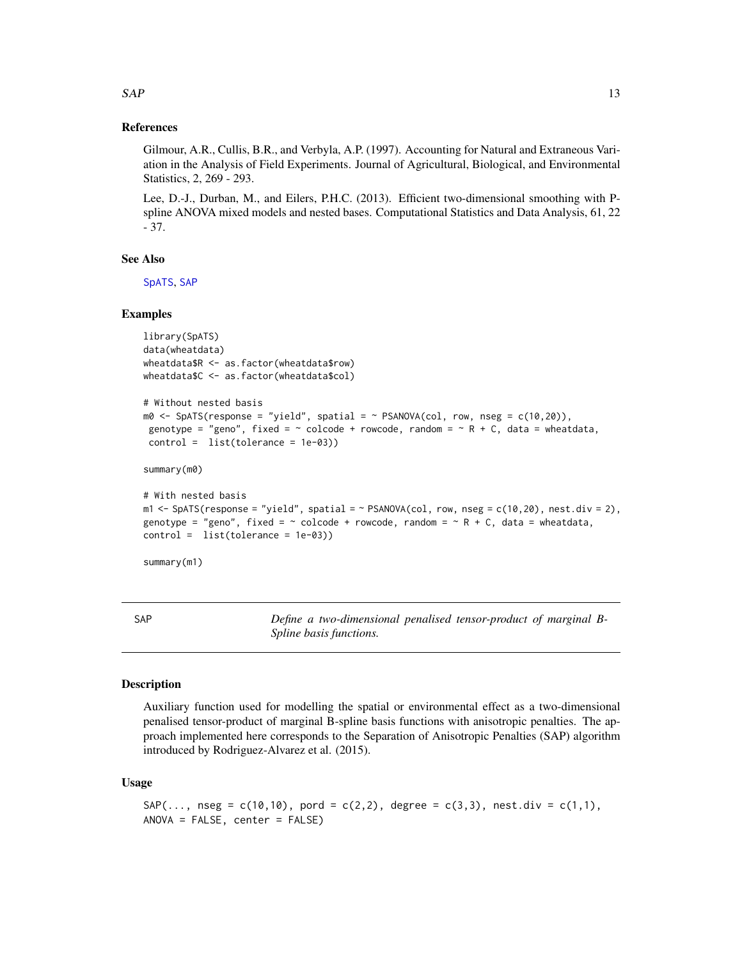#### References

Gilmour, A.R., Cullis, B.R., and Verbyla, A.P. (1997). Accounting for Natural and Extraneous Variation in the Analysis of Field Experiments. Journal of Agricultural, Biological, and Environmental Statistics, 2, 269 - 293.

Lee, D.-J., Durban, M., and Eilers, P.H.C. (2013). Efficient two-dimensional smoothing with Pspline ANOVA mixed models and nested bases. Computational Statistics and Data Analysis, 61, 22 - 37.

#### See Also

[SpATS](#page-15-1), [SAP](#page-12-1)

#### Examples

```
library(SpATS)
data(wheatdata)
wheatdata$R <- as.factor(wheatdata$row)
wheatdata$C <- as.factor(wheatdata$col)
```

```
# Without nested basis
m\theta \leq - SpATS(response = "yield", spatial = \sim PSANOVA(col, row, nseg = c(10,20)),
genotype = "geno", fixed = \sim colcode + rowcode, random = \sim R + C, data = wheatdata,
control = list(tolerance = 1e-03))
```
summary(m0)

```
# With nested basis
m1 < - SpATS(response = "yield", spatial = \sim PSANOVA(col, row, nseg = c(10,20), nest.div = 2),
genotype = "geno", fixed = \sim colcode + rowcode, random = \sim R + C, data = wheatdata,
control = list(tolerance = 1e-03))
```
summary(m1)

<span id="page-12-1"></span>SAP *Define a two-dimensional penalised tensor-product of marginal B-Spline basis functions.*

#### **Description**

Auxiliary function used for modelling the spatial or environmental effect as a two-dimensional penalised tensor-product of marginal B-spline basis functions with anisotropic penalties. The approach implemented here corresponds to the Separation of Anisotropic Penalties (SAP) algorithm introduced by Rodriguez-Alvarez et al. (2015).

#### Usage

```
SAP(..., nseg = c(10,10), pord = c(2,2), degree = c(3,3), nest.div = c(1,1),ANOVA = FALSE, center = FALSE)
```
<span id="page-12-0"></span> $SAP$  13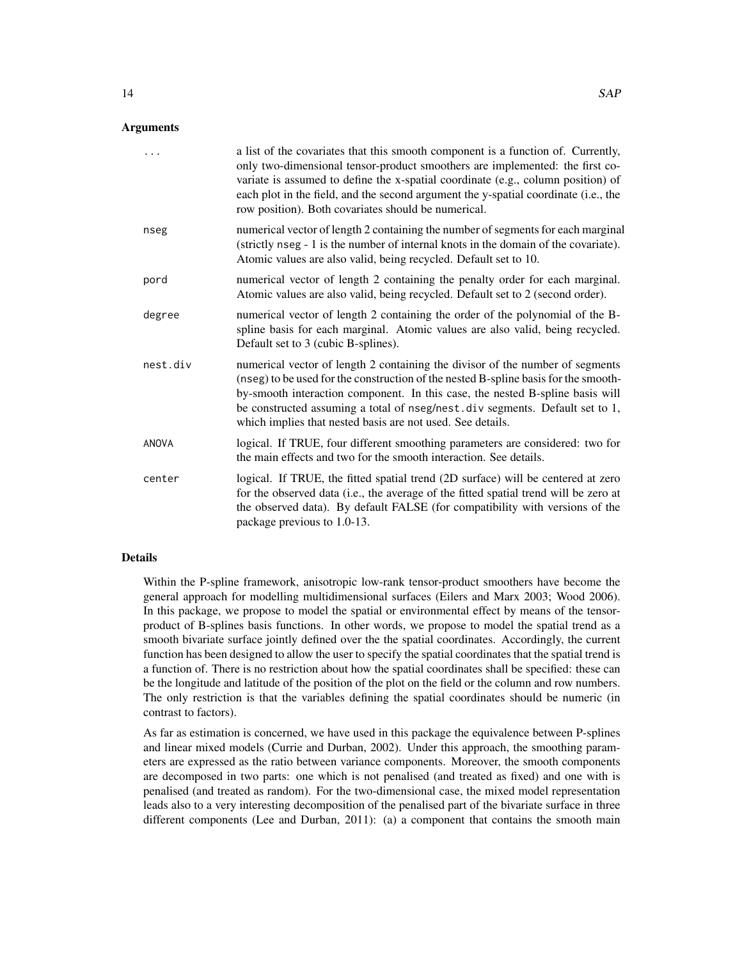|              | a list of the covariates that this smooth component is a function of. Currently,<br>only two-dimensional tensor-product smoothers are implemented: the first co-<br>variate is assumed to define the x-spatial coordinate (e.g., column position) of<br>each plot in the field, and the second argument the y-spatial coordinate (i.e., the<br>row position). Both covariates should be numerical.  |
|--------------|-----------------------------------------------------------------------------------------------------------------------------------------------------------------------------------------------------------------------------------------------------------------------------------------------------------------------------------------------------------------------------------------------------|
| nseg         | numerical vector of length 2 containing the number of segments for each marginal<br>(strictly nseg - 1 is the number of internal knots in the domain of the covariate).<br>Atomic values are also valid, being recycled. Default set to 10.                                                                                                                                                         |
| pord         | numerical vector of length 2 containing the penalty order for each marginal.<br>Atomic values are also valid, being recycled. Default set to 2 (second order).                                                                                                                                                                                                                                      |
| degree       | numerical vector of length 2 containing the order of the polynomial of the B-<br>spline basis for each marginal. Atomic values are also valid, being recycled.<br>Default set to 3 (cubic B-splines).                                                                                                                                                                                               |
| nest.div     | numerical vector of length 2 containing the divisor of the number of segments<br>(nseg) to be used for the construction of the nested B-spline basis for the smooth-<br>by-smooth interaction component. In this case, the nested B-spline basis will<br>be constructed assuming a total of nseg/nest.div segments. Default set to 1,<br>which implies that nested basis are not used. See details. |
| <b>ANOVA</b> | logical. If TRUE, four different smoothing parameters are considered: two for<br>the main effects and two for the smooth interaction. See details.                                                                                                                                                                                                                                                  |
| center       | logical. If TRUE, the fitted spatial trend (2D surface) will be centered at zero<br>for the observed data (i.e., the average of the fitted spatial trend will be zero at<br>the observed data). By default FALSE (for compatibility with versions of the<br>package previous to 1.0-13.                                                                                                             |

#### Details

Within the P-spline framework, anisotropic low-rank tensor-product smoothers have become the general approach for modelling multidimensional surfaces (Eilers and Marx 2003; Wood 2006). In this package, we propose to model the spatial or environmental effect by means of the tensorproduct of B-splines basis functions. In other words, we propose to model the spatial trend as a smooth bivariate surface jointly defined over the the spatial coordinates. Accordingly, the current function has been designed to allow the user to specify the spatial coordinates that the spatial trend is a function of. There is no restriction about how the spatial coordinates shall be specified: these can be the longitude and latitude of the position of the plot on the field or the column and row numbers. The only restriction is that the variables defining the spatial coordinates should be numeric (in contrast to factors).

As far as estimation is concerned, we have used in this package the equivalence between P-splines and linear mixed models (Currie and Durban, 2002). Under this approach, the smoothing parameters are expressed as the ratio between variance components. Moreover, the smooth components are decomposed in two parts: one which is not penalised (and treated as fixed) and one with is penalised (and treated as random). For the two-dimensional case, the mixed model representation leads also to a very interesting decomposition of the penalised part of the bivariate surface in three different components (Lee and Durban, 2011): (a) a component that contains the smooth main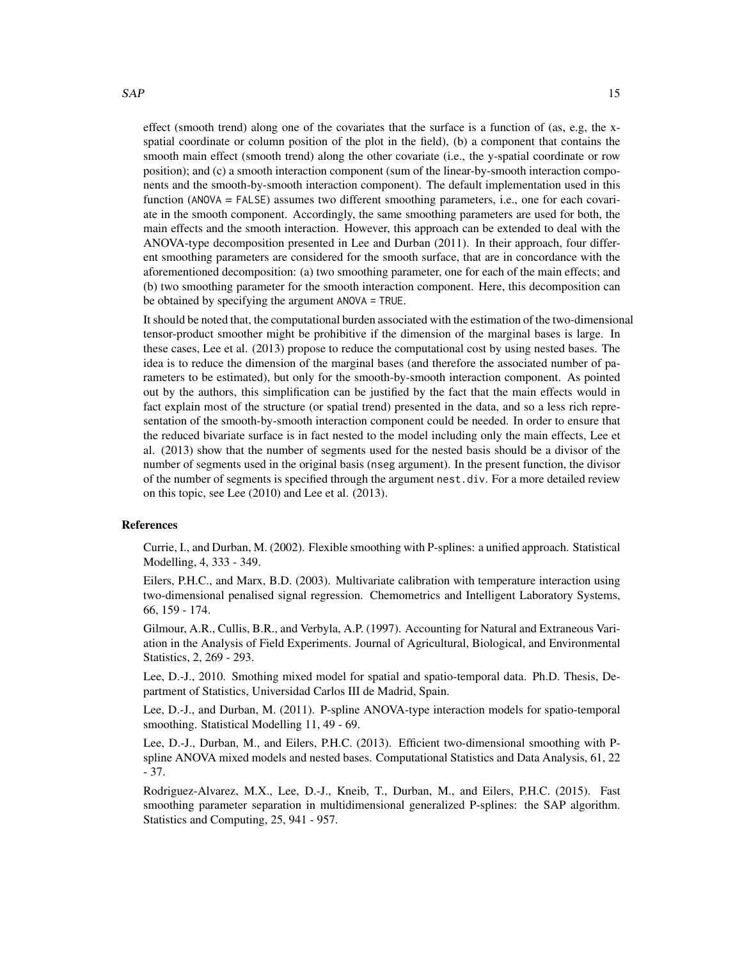effect (smooth trend) along one of the covariates that the surface is a function of (as, e.g, the xspatial coordinate or column position of the plot in the field), (b) a component that contains the smooth main effect (smooth trend) along the other covariate (i.e., the y-spatial coordinate or row position); and (c) a smooth interaction component (sum of the linear-by-smooth interaction components and the smooth-by-smooth interaction component). The default implementation used in this function (ANOVA = FALSE) assumes two different smoothing parameters, i.e., one for each covariate in the smooth component. Accordingly, the same smoothing parameters are used for both, the main effects and the smooth interaction. However, this approach can be extended to deal with the ANOVA-type decomposition presented in Lee and Durban (2011). In their approach, four different smoothing parameters are considered for the smooth surface, that are in concordance with the aforementioned decomposition: (a) two smoothing parameter, one for each of the main effects; and (b) two smoothing parameter for the smooth interaction component. Here, this decomposition can be obtained by specifying the argument ANOVA = TRUE.

It should be noted that, the computational burden associated with the estimation of the two-dimensional tensor-product smoother might be prohibitive if the dimension of the marginal bases is large. In these cases, Lee et al. (2013) propose to reduce the computational cost by using nested bases. The idea is to reduce the dimension of the marginal bases (and therefore the associated number of parameters to be estimated), but only for the smooth-by-smooth interaction component. As pointed out by the authors, this simplification can be justified by the fact that the main effects would in fact explain most of the structure (or spatial trend) presented in the data, and so a less rich representation of the smooth-by-smooth interaction component could be needed. In order to ensure that the reduced bivariate surface is in fact nested to the model including only the main effects, Lee et al. (2013) show that the number of segments used for the nested basis should be a divisor of the number of segments used in the original basis (nseg argument). In the present function, the divisor of the number of segments is specified through the argument nest.div. For a more detailed review on this topic, see Lee (2010) and Lee et al. (2013).

#### References

Currie, I., and Durban, M. (2002). Flexible smoothing with P-splines: a unified approach. Statistical Modelling, 4, 333 - 349.

Eilers, P.H.C., and Marx, B.D. (2003). Multivariate calibration with temperature interaction using two-dimensional penalised signal regression. Chemometrics and Intelligent Laboratory Systems, 66, 159 - 174.

Gilmour, A.R., Cullis, B.R., and Verbyla, A.P. (1997). Accounting for Natural and Extraneous Variation in the Analysis of Field Experiments. Journal of Agricultural, Biological, and Environmental Statistics, 2, 269 - 293.

Lee, D.-J., 2010. Smothing mixed model for spatial and spatio-temporal data. Ph.D. Thesis, Department of Statistics, Universidad Carlos III de Madrid, Spain.

Lee, D.-J., and Durban, M. (2011). P-spline ANOVA-type interaction models for spatio-temporal smoothing. Statistical Modelling 11, 49 - 69.

Lee, D.-J., Durban, M., and Eilers, P.H.C. (2013). Efficient two-dimensional smoothing with Pspline ANOVA mixed models and nested bases. Computational Statistics and Data Analysis, 61, 22 - 37.

Rodriguez-Alvarez, M.X., Lee, D.-J., Kneib, T., Durban, M., and Eilers, P.H.C. (2015). Fast smoothing parameter separation in multidimensional generalized P-splines: the SAP algorithm. Statistics and Computing, 25, 941 - 957.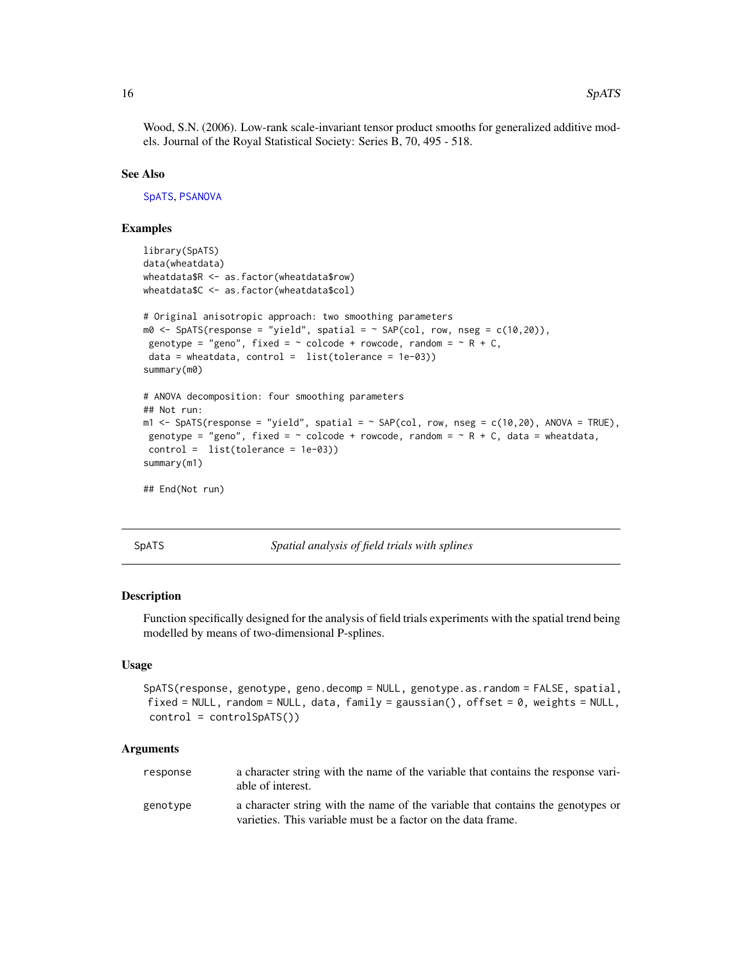<span id="page-15-0"></span>Wood, S.N. (2006). Low-rank scale-invariant tensor product smooths for generalized additive models. Journal of the Royal Statistical Society: Series B, 70, 495 - 518.

#### See Also

[SpATS](#page-15-1), [PSANOVA](#page-11-1)

#### Examples

```
library(SpATS)
data(wheatdata)
wheatdata$R <- as.factor(wheatdata$row)
wheatdata$C <- as.factor(wheatdata$col)
# Original anisotropic approach: two smoothing parameters
m0 \leq SpATS(response = "yield", spatial = \sim SAP(col, row, nseg = c(10,20)),
genotype = "geno", fixed = \sim colcode + rowcode, random = \sim R + C,
data = wheatdata, control = list(tolerance = 1e-03))summary(m0)
# ANOVA decomposition: four smoothing parameters
## Not run:
m1 \leq SpATS(response = "yield", spatial = \sim SAP(col, row, nseg = c(10,20), ANOVA = TRUE),
genotype = "geno", fixed = \sim colcode + rowcode, random = \sim R + C, data = wheatdata,
control = list(tolerance = 1e-03))
summary(m1)
## End(Not run)
```
<span id="page-15-1"></span>SpATS *Spatial analysis of field trials with splines*

#### Description

Function specifically designed for the analysis of field trials experiments with the spatial trend being modelled by means of two-dimensional P-splines.

#### Usage

```
SpATS(response, genotype, geno.decomp = NULL, genotype.as.random = FALSE, spatial,
fixed = NULL, random = NULL, data, family = gaussian(), offset = 0, weights = NULL,
control = controlSpATS())
```
#### Arguments

| response | a character string with the name of the variable that contains the response vari-<br>able of interest.                                          |
|----------|-------------------------------------------------------------------------------------------------------------------------------------------------|
| genotype | a character string with the name of the variable that contains the genotypes or<br>varieties. This variable must be a factor on the data frame. |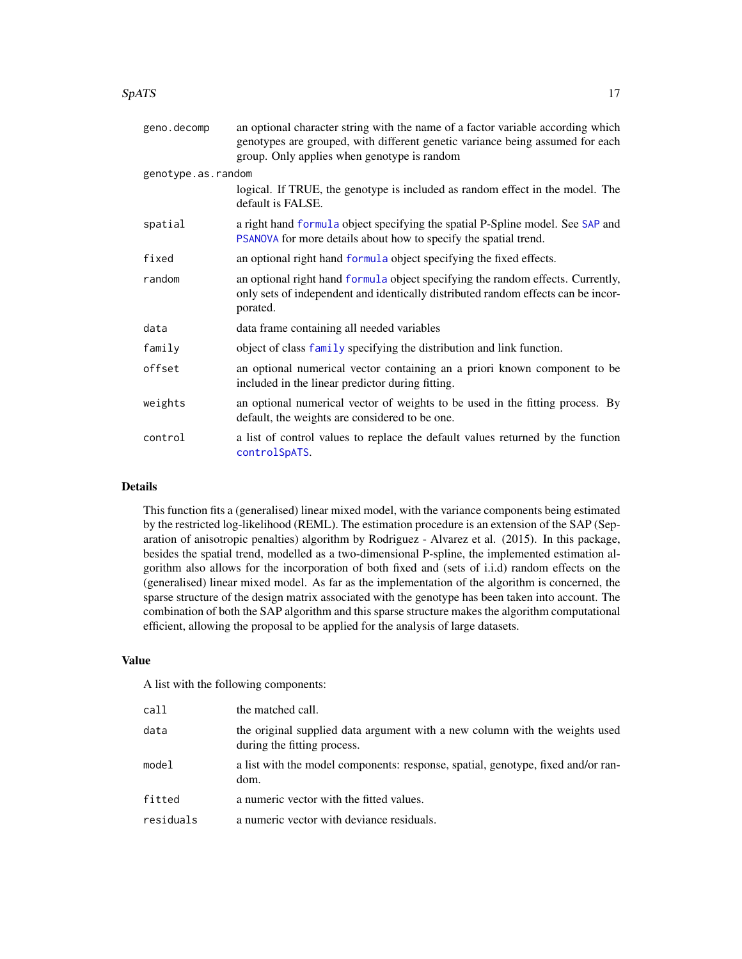#### <span id="page-16-0"></span> $SpATS$  17

| geno.decomp        | an optional character string with the name of a factor variable according which<br>genotypes are grouped, with different genetic variance being assumed for each<br>group. Only applies when genotype is random |
|--------------------|-----------------------------------------------------------------------------------------------------------------------------------------------------------------------------------------------------------------|
| genotype.as.random |                                                                                                                                                                                                                 |
|                    | logical. If TRUE, the genotype is included as random effect in the model. The<br>default is FALSE.                                                                                                              |
| spatial            | a right hand formula object specifying the spatial P-Spline model. See SAP and<br>PSANOVA for more details about how to specify the spatial trend.                                                              |
| fixed              | an optional right hand formula object specifying the fixed effects.                                                                                                                                             |
| random             | an optional right hand formula object specifying the random effects. Currently,<br>only sets of independent and identically distributed random effects can be incor-<br>porated.                                |
| data               | data frame containing all needed variables                                                                                                                                                                      |
| family             | object of class family specifying the distribution and link function.                                                                                                                                           |
| offset             | an optional numerical vector containing an a priori known component to be<br>included in the linear predictor during fitting.                                                                                   |
| weights            | an optional numerical vector of weights to be used in the fitting process. By<br>default, the weights are considered to be one.                                                                                 |
| control            | a list of control values to replace the default values returned by the function<br>controlSpATS.                                                                                                                |

#### Details

This function fits a (generalised) linear mixed model, with the variance components being estimated by the restricted log-likelihood (REML). The estimation procedure is an extension of the SAP (Separation of anisotropic penalties) algorithm by Rodriguez - Alvarez et al. (2015). In this package, besides the spatial trend, modelled as a two-dimensional P-spline, the implemented estimation algorithm also allows for the incorporation of both fixed and (sets of i.i.d) random effects on the (generalised) linear mixed model. As far as the implementation of the algorithm is concerned, the sparse structure of the design matrix associated with the genotype has been taken into account. The combination of both the SAP algorithm and this sparse structure makes the algorithm computational efficient, allowing the proposal to be applied for the analysis of large datasets.

#### Value

A list with the following components:

| call      | the matched call.                                                                                          |
|-----------|------------------------------------------------------------------------------------------------------------|
| data      | the original supplied data argument with a new column with the weights used<br>during the fitting process. |
| model     | a list with the model components: response, spatial, genotype, fixed and/or ran-<br>dom.                   |
| fitted    | a numeric vector with the fitted values.                                                                   |
| residuals | a numeric vector with deviance residuals.                                                                  |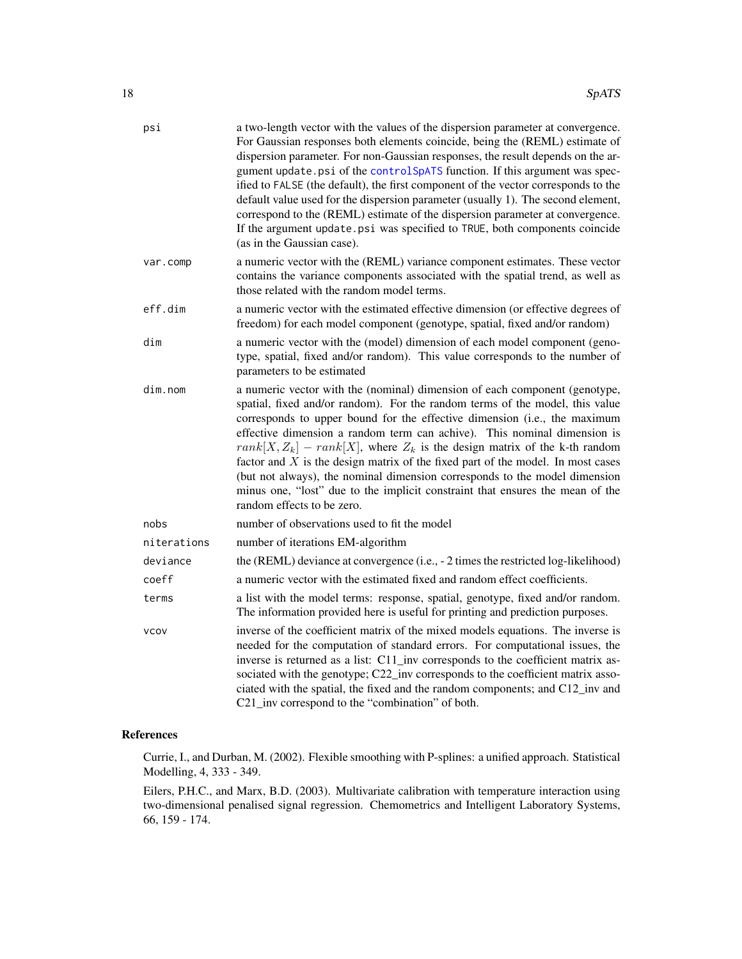| psi         | a two-length vector with the values of the dispersion parameter at convergence.<br>For Gaussian responses both elements coincide, being the (REML) estimate of<br>dispersion parameter. For non-Gaussian responses, the result depends on the ar-<br>gument update.psi of the controlSpATS function. If this argument was spec-<br>ified to FALSE (the default), the first component of the vector corresponds to the<br>default value used for the dispersion parameter (usually 1). The second element,<br>correspond to the (REML) estimate of the dispersion parameter at convergence.<br>If the argument update.psi was specified to TRUE, both components coincide<br>(as in the Gaussian case). |
|-------------|--------------------------------------------------------------------------------------------------------------------------------------------------------------------------------------------------------------------------------------------------------------------------------------------------------------------------------------------------------------------------------------------------------------------------------------------------------------------------------------------------------------------------------------------------------------------------------------------------------------------------------------------------------------------------------------------------------|
| var.comp    | a numeric vector with the (REML) variance component estimates. These vector<br>contains the variance components associated with the spatial trend, as well as<br>those related with the random model terms.                                                                                                                                                                                                                                                                                                                                                                                                                                                                                            |
| eff.dim     | a numeric vector with the estimated effective dimension (or effective degrees of<br>freedom) for each model component (genotype, spatial, fixed and/or random)                                                                                                                                                                                                                                                                                                                                                                                                                                                                                                                                         |
| dim         | a numeric vector with the (model) dimension of each model component (geno-<br>type, spatial, fixed and/or random). This value corresponds to the number of<br>parameters to be estimated                                                                                                                                                                                                                                                                                                                                                                                                                                                                                                               |
| dim.nom     | a numeric vector with the (nominal) dimension of each component (genotype,<br>spatial, fixed and/or random). For the random terms of the model, this value<br>corresponds to upper bound for the effective dimension (i.e., the maximum<br>effective dimension a random term can achive). This nominal dimension is<br>$rank[X, Z_k] - rank[X]$ , where $Z_k$ is the design matrix of the k-th random<br>factor and $X$ is the design matrix of the fixed part of the model. In most cases<br>(but not always), the nominal dimension corresponds to the model dimension<br>minus one, "lost" due to the implicit constraint that ensures the mean of the<br>random effects to be zero.                |
| nobs        | number of observations used to fit the model                                                                                                                                                                                                                                                                                                                                                                                                                                                                                                                                                                                                                                                           |
| niterations | number of iterations EM-algorithm                                                                                                                                                                                                                                                                                                                                                                                                                                                                                                                                                                                                                                                                      |
| deviance    | the (REML) deviance at convergence (i.e., - 2 times the restricted log-likelihood)                                                                                                                                                                                                                                                                                                                                                                                                                                                                                                                                                                                                                     |
| coeff       | a numeric vector with the estimated fixed and random effect coefficients.                                                                                                                                                                                                                                                                                                                                                                                                                                                                                                                                                                                                                              |
| terms       | a list with the model terms: response, spatial, genotype, fixed and/or random.<br>The information provided here is useful for printing and prediction purposes.                                                                                                                                                                                                                                                                                                                                                                                                                                                                                                                                        |
| <b>VCOV</b> | inverse of the coefficient matrix of the mixed models equations. The inverse is<br>needed for the computation of standard errors. For computational issues, the<br>inverse is returned as a list: C11_inv corresponds to the coefficient matrix as-<br>sociated with the genotype; C22_inv corresponds to the coefficient matrix asso-<br>ciated with the spatial, the fixed and the random components; and C12_inv and<br>C21_inv correspond to the "combination" of both.                                                                                                                                                                                                                            |

#### References

Currie, I., and Durban, M. (2002). Flexible smoothing with P-splines: a unified approach. Statistical Modelling, 4, 333 - 349.

Eilers, P.H.C., and Marx, B.D. (2003). Multivariate calibration with temperature interaction using two-dimensional penalised signal regression. Chemometrics and Intelligent Laboratory Systems, 66, 159 - 174.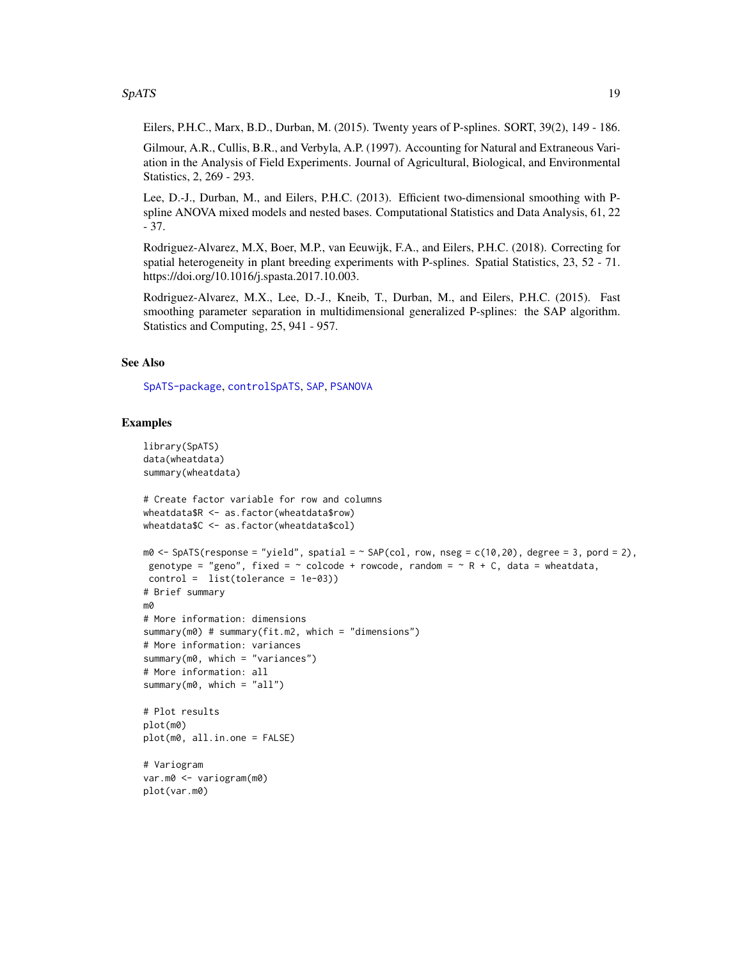#### <span id="page-18-0"></span> $SpATS$  19

Eilers, P.H.C., Marx, B.D., Durban, M. (2015). Twenty years of P-splines. SORT, 39(2), 149 - 186.

Gilmour, A.R., Cullis, B.R., and Verbyla, A.P. (1997). Accounting for Natural and Extraneous Variation in the Analysis of Field Experiments. Journal of Agricultural, Biological, and Environmental Statistics, 2, 269 - 293.

Lee, D.-J., Durban, M., and Eilers, P.H.C. (2013). Efficient two-dimensional smoothing with Pspline ANOVA mixed models and nested bases. Computational Statistics and Data Analysis, 61, 22 - 37.

Rodriguez-Alvarez, M.X, Boer, M.P., van Eeuwijk, F.A., and Eilers, P.H.C. (2018). Correcting for spatial heterogeneity in plant breeding experiments with P-splines. Spatial Statistics, 23, 52 - 71. https://doi.org/10.1016/j.spasta.2017.10.003.

Rodriguez-Alvarez, M.X., Lee, D.-J., Kneib, T., Durban, M., and Eilers, P.H.C. (2015). Fast smoothing parameter separation in multidimensional generalized P-splines: the SAP algorithm. Statistics and Computing, 25, 941 - 957.

#### See Also

[SpATS-package](#page-1-1), [controlSpATS](#page-2-1), [SAP](#page-12-1), [PSANOVA](#page-11-1)

#### Examples

```
library(SpATS)
data(wheatdata)
summary(wheatdata)
# Create factor variable for row and columns
wheatdata$R <- as.factor(wheatdata$row)
wheatdata$C <- as.factor(wheatdata$col)
m0 \leq - SpATS(response = "yield", spatial = \sim SAP(col, row, nseg = c(10,20), degree = 3, pord = 2),
genotype = "geno", fixed = \sim colcode + rowcode, random = \sim R + C, data = wheatdata,
control = list(tolerance = 1e-03))
# Brief summary
m0
# More information: dimensions
summary(m0) # summary(fit.m2, which = "dimensions")
# More information: variances
summary(m0, which = "variances")
# More information: all
summary(m0, which = "all")
# Plot results
plot(m0)
plot(m0, all.in.one = FALSE)
# Variogram
var.m0 <- variogram(m0)
plot(var.m0)
```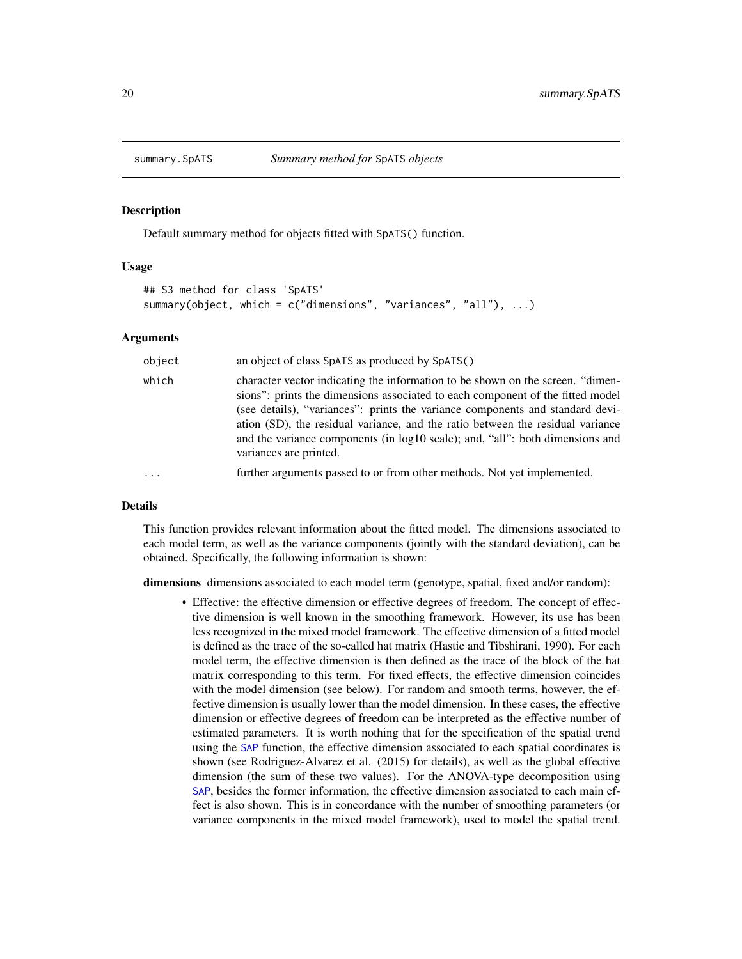<span id="page-19-1"></span><span id="page-19-0"></span>

#### Description

Default summary method for objects fitted with SpATS() function.

#### Usage

```
## S3 method for class 'SpATS'
summary(object, which = c("dimensions", "variances", "all"), ...)
```
#### Arguments

| object   | an object of class SpATS as produced by SpATS()                                                                                                                                                                                                                                                                                                                                                                                                |
|----------|------------------------------------------------------------------------------------------------------------------------------------------------------------------------------------------------------------------------------------------------------------------------------------------------------------------------------------------------------------------------------------------------------------------------------------------------|
| which    | character vector indicating the information to be shown on the screen. "dimen-<br>sions": prints the dimensions associated to each component of the fitted model<br>(see details), "variances": prints the variance components and standard devi-<br>ation (SD), the residual variance, and the ratio between the residual variance<br>and the variance components (in log10 scale); and, "all": both dimensions and<br>variances are printed. |
| $\ddots$ | further arguments passed to or from other methods. Not yet implemented.                                                                                                                                                                                                                                                                                                                                                                        |

#### Details

This function provides relevant information about the fitted model. The dimensions associated to each model term, as well as the variance components (jointly with the standard deviation), can be obtained. Specifically, the following information is shown:

dimensions dimensions associated to each model term (genotype, spatial, fixed and/or random):

• Effective: the effective dimension or effective degrees of freedom. The concept of effective dimension is well known in the smoothing framework. However, its use has been less recognized in the mixed model framework. The effective dimension of a fitted model is defined as the trace of the so-called hat matrix (Hastie and Tibshirani, 1990). For each model term, the effective dimension is then defined as the trace of the block of the hat matrix corresponding to this term. For fixed effects, the effective dimension coincides with the model dimension (see below). For random and smooth terms, however, the effective dimension is usually lower than the model dimension. In these cases, the effective dimension or effective degrees of freedom can be interpreted as the effective number of estimated parameters. It is worth nothing that for the specification of the spatial trend using the [SAP](#page-12-1) function, the effective dimension associated to each spatial coordinates is shown (see Rodriguez-Alvarez et al. (2015) for details), as well as the global effective dimension (the sum of these two values). For the ANOVA-type decomposition using [SAP](#page-12-1), besides the former information, the effective dimension associated to each main effect is also shown. This is in concordance with the number of smoothing parameters (or variance components in the mixed model framework), used to model the spatial trend.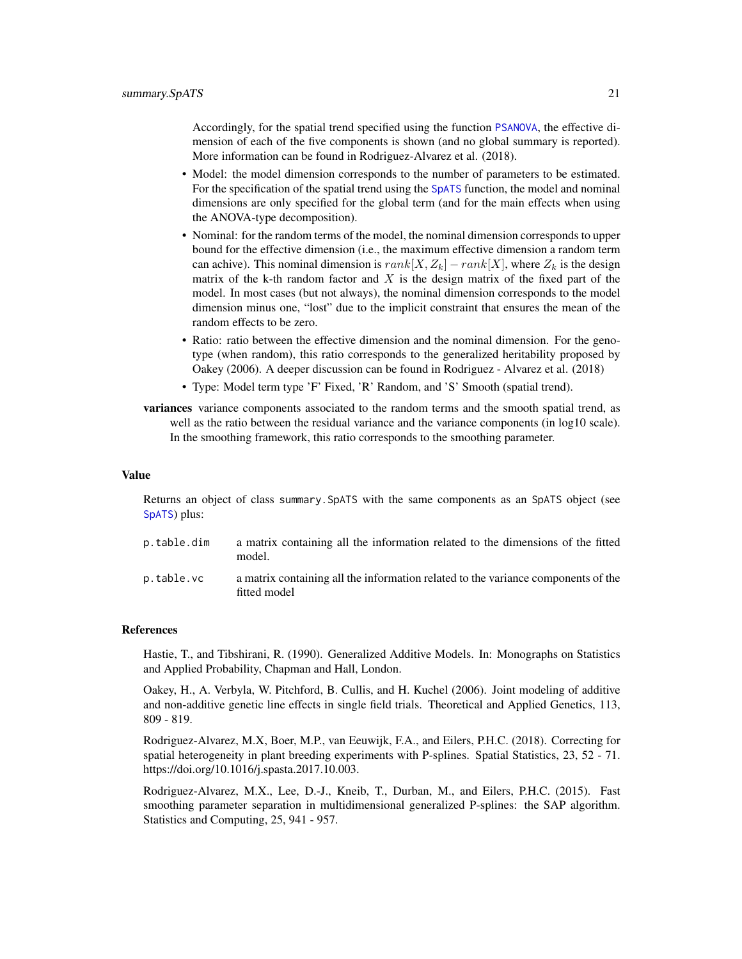<span id="page-20-0"></span>Accordingly, for the spatial trend specified using the function [PSANOVA](#page-11-1), the effective dimension of each of the five components is shown (and no global summary is reported). More information can be found in Rodriguez-Alvarez et al. (2018).

- Model: the model dimension corresponds to the number of parameters to be estimated. For the specification of the spatial trend using the [SpATS](#page-15-1) function, the model and nominal dimensions are only specified for the global term (and for the main effects when using the ANOVA-type decomposition).
- Nominal: for the random terms of the model, the nominal dimension corresponds to upper bound for the effective dimension (i.e., the maximum effective dimension a random term can achive). This nominal dimension is  $rank[X, Z_k] - rank[X]$ , where  $Z_k$  is the design matrix of the k-th random factor and  $X$  is the design matrix of the fixed part of the model. In most cases (but not always), the nominal dimension corresponds to the model dimension minus one, "lost" due to the implicit constraint that ensures the mean of the random effects to be zero.
- Ratio: ratio between the effective dimension and the nominal dimension. For the genotype (when random), this ratio corresponds to the generalized heritability proposed by Oakey (2006). A deeper discussion can be found in Rodriguez - Alvarez et al. (2018)
- Type: Model term type 'F' Fixed, 'R' Random, and 'S' Smooth (spatial trend).
- variances variance components associated to the random terms and the smooth spatial trend, as well as the ratio between the residual variance and the variance components (in log10 scale). In the smoothing framework, this ratio corresponds to the smoothing parameter.

#### Value

Returns an object of class summary.SpATS with the same components as an SpATS object (see [SpATS](#page-15-1)) plus:

| p.table.dim | a matrix containing all the information related to the dimensions of the fitted<br>model.         |
|-------------|---------------------------------------------------------------------------------------------------|
| p.table.vc  | a matrix containing all the information related to the variance components of the<br>fitted model |

#### References

Hastie, T., and Tibshirani, R. (1990). Generalized Additive Models. In: Monographs on Statistics and Applied Probability, Chapman and Hall, London.

Oakey, H., A. Verbyla, W. Pitchford, B. Cullis, and H. Kuchel (2006). Joint modeling of additive and non-additive genetic line effects in single field trials. Theoretical and Applied Genetics, 113, 809 - 819.

Rodriguez-Alvarez, M.X, Boer, M.P., van Eeuwijk, F.A., and Eilers, P.H.C. (2018). Correcting for spatial heterogeneity in plant breeding experiments with P-splines. Spatial Statistics, 23, 52 - 71. https://doi.org/10.1016/j.spasta.2017.10.003.

Rodriguez-Alvarez, M.X., Lee, D.-J., Kneib, T., Durban, M., and Eilers, P.H.C. (2015). Fast smoothing parameter separation in multidimensional generalized P-splines: the SAP algorithm. Statistics and Computing, 25, 941 - 957.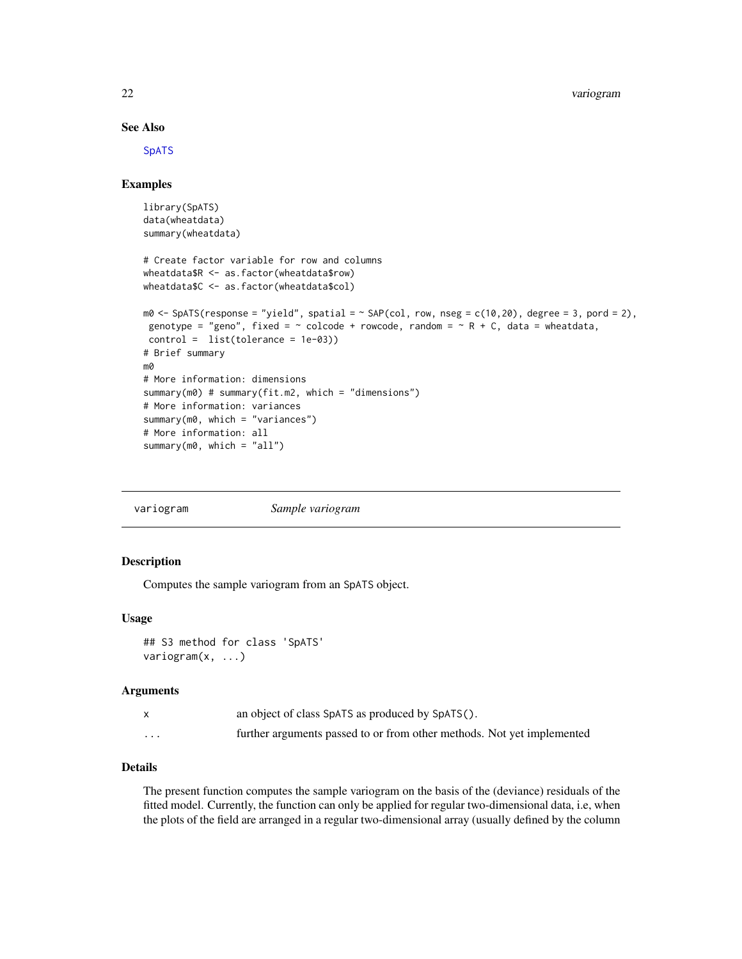22 variogram

#### See Also

**[SpATS](#page-15-1)** 

#### Examples

```
library(SpATS)
data(wheatdata)
summary(wheatdata)
# Create factor variable for row and columns
wheatdata$R <- as.factor(wheatdata$row)
wheatdata$C <- as.factor(wheatdata$col)
m0 \leq - SpATS(response = "yield", spatial = \sim SAP(col, row, nseg = c(10,20), degree = 3, pord = 2),
 genotype = "geno", fixed = \sim colcode + rowcode, random = \sim R + C, data = wheatdata,
 control = list(tolerance = 1e-03))
# Brief summary
m0
# More information: dimensions
summary(m0) # summary(fit.m2, which = "dimensions")
# More information: variances
summary(m0, which = "variances")
# More information: all
summary(m0, which = "all")
```

| variogram | Sample variogram |
|-----------|------------------|
|           |                  |

#### <span id="page-21-1"></span>Description

Computes the sample variogram from an SpATS object.

#### Usage

```
## S3 method for class 'SpATS'
variogram(x, ...)
```
#### Arguments

|          | an object of class SpATS as produced by SpATS().                       |
|----------|------------------------------------------------------------------------|
| $\cdots$ | further arguments passed to or from other methods. Not yet implemented |

#### Details

The present function computes the sample variogram on the basis of the (deviance) residuals of the fitted model. Currently, the function can only be applied for regular two-dimensional data, i.e, when the plots of the field are arranged in a regular two-dimensional array (usually defined by the column

<span id="page-21-0"></span>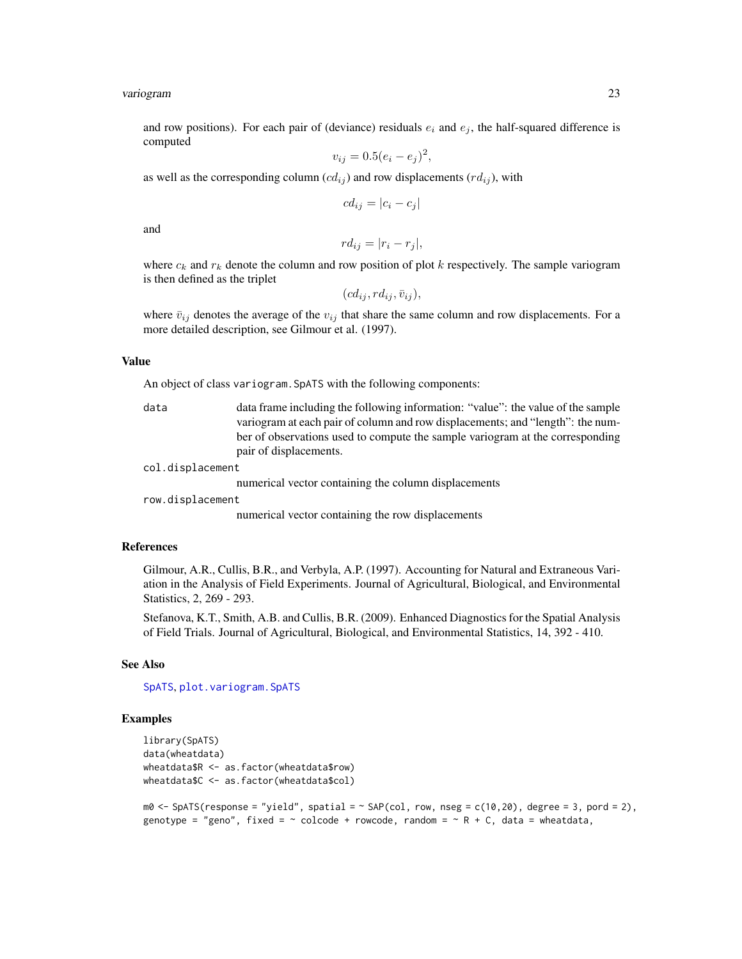#### <span id="page-22-0"></span>variogram 23

and row positions). For each pair of (deviance) residuals  $e_i$  and  $e_j$ , the half-squared difference is computed

$$
v_{ij} = 0.5(e_i - e_j)^2
$$

,

as well as the corresponding column  $(cd_{ij})$  and row displacements  $(rd_{ij})$ , with

$$
cd_{ij} = |c_i - c_j|
$$

and

$$
rd_{ij} = |r_i - r_j|,
$$

where  $c_k$  and  $r_k$  denote the column and row position of plot k respectively. The sample variogram is then defined as the triplet

$$
(cd_{ij},rd_{ij},\bar{v}_{ij}),
$$

where  $\bar{v}_{ij}$  denotes the average of the  $v_{ij}$  that share the same column and row displacements. For a more detailed description, see Gilmour et al. (1997).

#### Value

An object of class variogram.SpATS with the following components:

| data | data frame including the following information: "value": the value of the sample |
|------|----------------------------------------------------------------------------------|
|      | variogram at each pair of column and row displacements; and "length": the num-   |
|      | ber of observations used to compute the sample variogram at the corresponding    |
|      | pair of displacements.                                                           |

col.displacement

numerical vector containing the column displacements

row.displacement

numerical vector containing the row displacements

#### References

Gilmour, A.R., Cullis, B.R., and Verbyla, A.P. (1997). Accounting for Natural and Extraneous Variation in the Analysis of Field Experiments. Journal of Agricultural, Biological, and Environmental Statistics, 2, 269 - 293.

Stefanova, K.T., Smith, A.B. and Cullis, B.R. (2009). Enhanced Diagnostics for the Spatial Analysis of Field Trials. Journal of Agricultural, Biological, and Environmental Statistics, 14, 392 - 410.

#### See Also

[SpATS](#page-15-1), [plot.variogram.SpATS](#page-7-1)

#### Examples

```
library(SpATS)
data(wheatdata)
wheatdata$R <- as.factor(wheatdata$row)
wheatdata$C <- as.factor(wheatdata$col)
```

```
m0 \leq - SpATS(response = "yield", spatial = \sim SAP(col, row, nseg = c(10,20), degree = 3, pord = 2),
genotype = "geno", fixed = \sim colcode + rowcode, random = \sim R + C, data = wheatdata,
```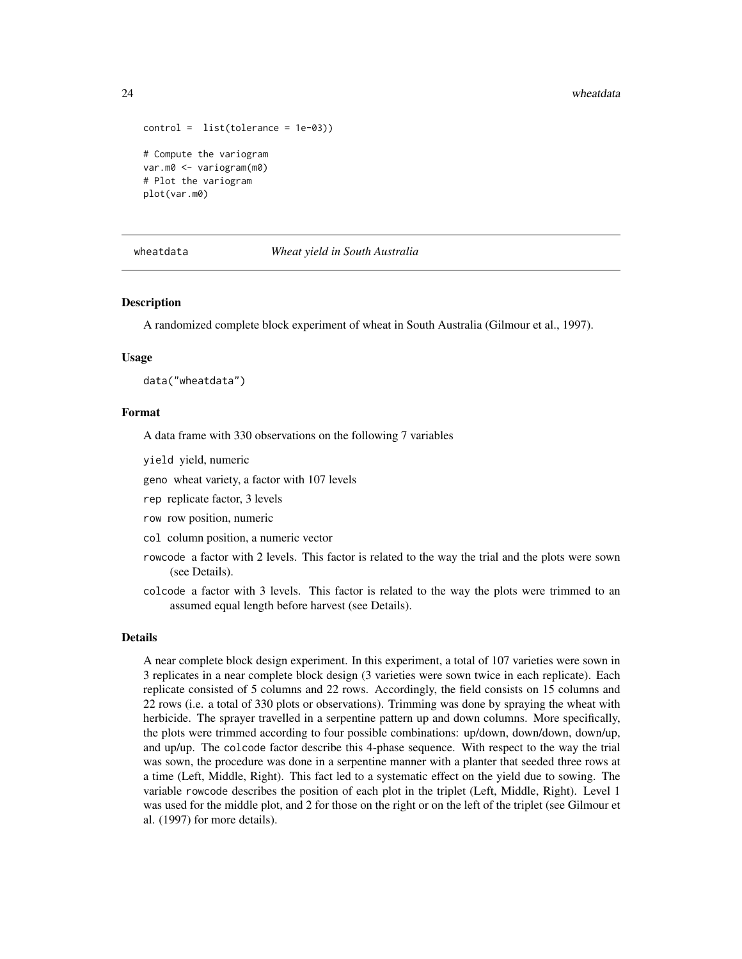```
control = list(tolerance = 1e-03))# Compute the variogram
var.m0 <- variogram(m0)
# Plot the variogram
plot(var.m0)
```
#### wheatdata *Wheat yield in South Australia*

#### **Description**

A randomized complete block experiment of wheat in South Australia (Gilmour et al., 1997).

#### Usage

```
data("wheatdata")
```
#### Format

A data frame with 330 observations on the following 7 variables

yield yield, numeric

geno wheat variety, a factor with 107 levels

rep replicate factor, 3 levels

row row position, numeric

col column position, a numeric vector

- rowcode a factor with 2 levels. This factor is related to the way the trial and the plots were sown (see Details).
- colcode a factor with 3 levels. This factor is related to the way the plots were trimmed to an assumed equal length before harvest (see Details).

#### Details

A near complete block design experiment. In this experiment, a total of 107 varieties were sown in 3 replicates in a near complete block design (3 varieties were sown twice in each replicate). Each replicate consisted of 5 columns and 22 rows. Accordingly, the field consists on 15 columns and 22 rows (i.e. a total of 330 plots or observations). Trimming was done by spraying the wheat with herbicide. The sprayer travelled in a serpentine pattern up and down columns. More specifically, the plots were trimmed according to four possible combinations: up/down, down/down, down/up, and up/up. The colcode factor describe this 4-phase sequence. With respect to the way the trial was sown, the procedure was done in a serpentine manner with a planter that seeded three rows at a time (Left, Middle, Right). This fact led to a systematic effect on the yield due to sowing. The variable rowcode describes the position of each plot in the triplet (Left, Middle, Right). Level 1 was used for the middle plot, and 2 for those on the right or on the left of the triplet (see Gilmour et al. (1997) for more details).

<span id="page-23-0"></span>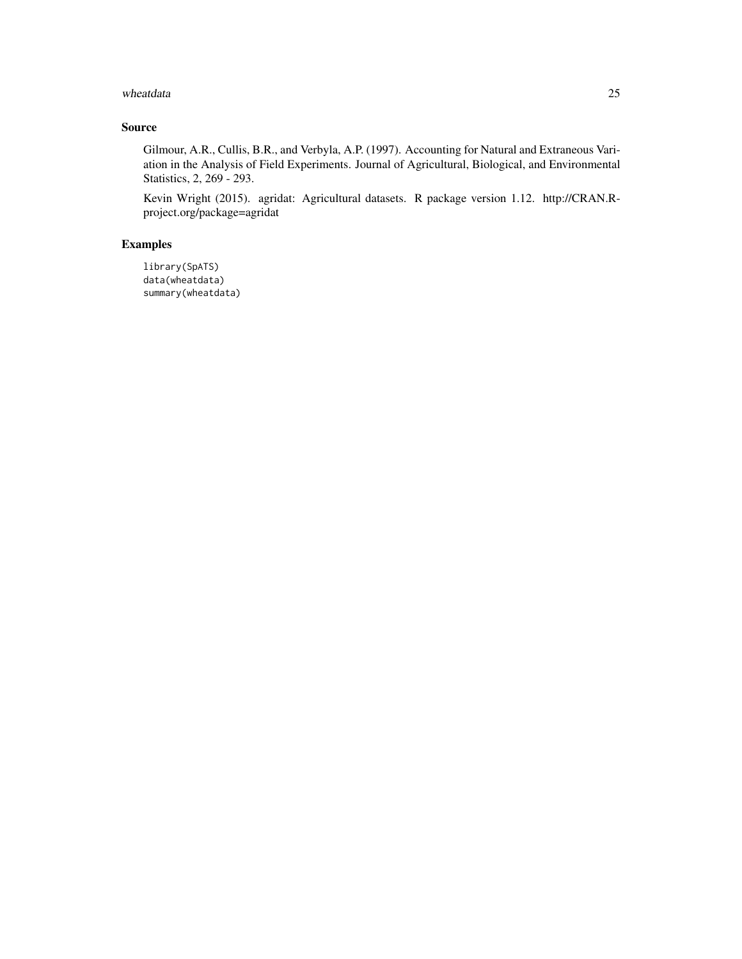#### wheatdata 25

#### Source

Gilmour, A.R., Cullis, B.R., and Verbyla, A.P. (1997). Accounting for Natural and Extraneous Variation in the Analysis of Field Experiments. Journal of Agricultural, Biological, and Environmental Statistics, 2, 269 - 293.

Kevin Wright (2015). agridat: Agricultural datasets. R package version 1.12. http://CRAN.Rproject.org/package=agridat

#### Examples

library(SpATS) data(wheatdata) summary(wheatdata)